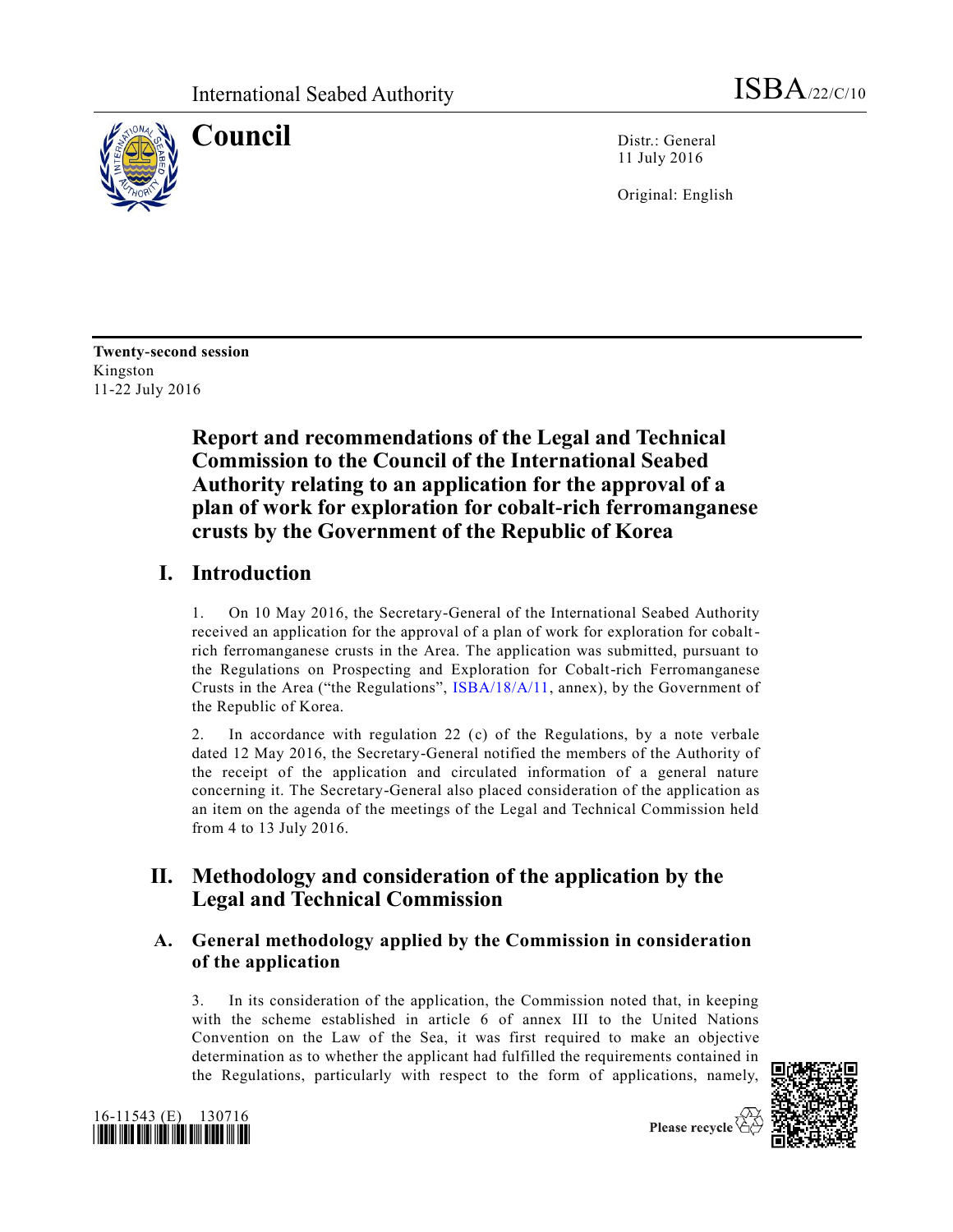

**Council** Distr.: General 11 July 2016

Original: English

**Twenty-second session** Kingston 11-22 July 2016

# **Report and recommendations of the Legal and Technical Commission to the Council of the International Seabed Authority relating to an application for the approval of a plan of work for exploration for cobalt-rich ferromanganese crusts by the Government of the Republic of Korea**

# **I. Introduction**

1. On 10 May 2016, the Secretary-General of the International Seabed Authority received an application for the approval of a plan of work for exploration for cobaltrich ferromanganese crusts in the Area. The application was submitted, pursuant to the Regulations on Prospecting and Exploration for Cobalt-rich Ferromanganese Crusts in the Area ("the Regulations", [ISBA/18/A/11,](http://undocs.org/ISBA/18/A/11) annex), by the Government of the Republic of Korea.

2. In accordance with regulation 22 (c) of the Regulations, by a note verbale dated 12 May 2016, the Secretary-General notified the members of the Authority of the receipt of the application and circulated information of a general nature concerning it. The Secretary-General also placed consideration of the application as an item on the agenda of the meetings of the Legal and Technical Commission held from 4 to 13 July 2016.

# **II. Methodology and consideration of the application by the Legal and Technical Commission**

## **A. General methodology applied by the Commission in consideration of the application**

3. In its consideration of the application, the Commission noted that, in keeping with the scheme established in article 6 of annex III to the United Nations Convention on the Law of the Sea, it was first required to make an objective determination as to whether the applicant had fulfilled the requirements contained in the Regulations, particularly with respect to the form of applications, namely,





Please recycle  $\overleftrightarrow{C}$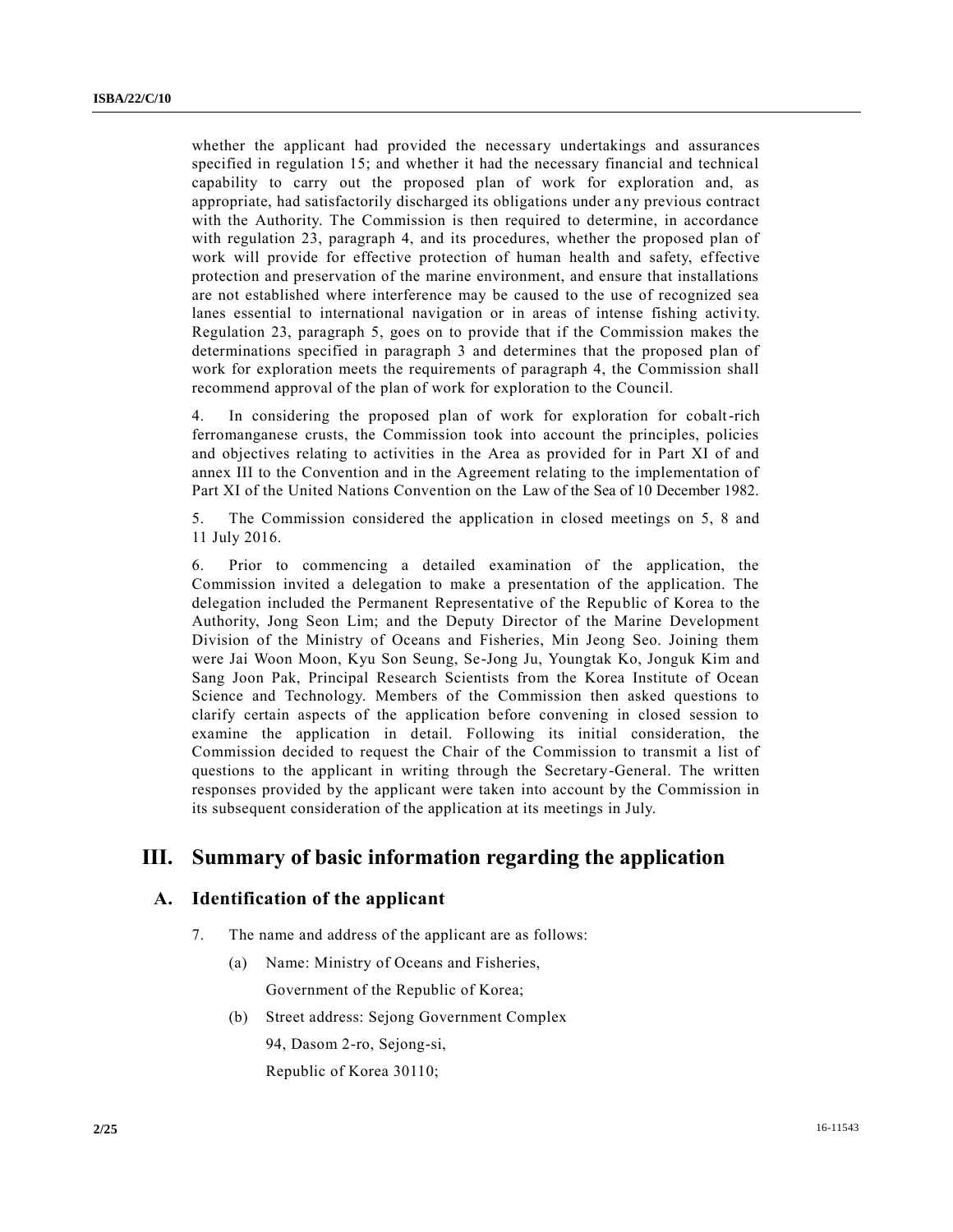whether the applicant had provided the necessary undertakings and assurances specified in regulation 15; and whether it had the necessary financial and technical capability to carry out the proposed plan of work for exploration and, as appropriate, had satisfactorily discharged its obligations under any previous contract with the Authority. The Commission is then required to determine, in accordance with regulation 23, paragraph 4, and its procedures, whether the proposed plan of work will provide for effective protection of human health and safety, effective protection and preservation of the marine environment, and ensure that installations are not established where interference may be caused to the use of recognized sea lanes essential to international navigation or in areas of intense fishing activity. Regulation 23, paragraph 5, goes on to provide that if the Commission makes the determinations specified in paragraph 3 and determines that the proposed plan of work for exploration meets the requirements of paragraph 4, the Commission shall recommend approval of the plan of work for exploration to the Council.

4. In considering the proposed plan of work for exploration for cobalt-rich ferromanganese crusts, the Commission took into account the principles, policies and objectives relating to activities in the Area as provided for in Part XI of and annex III to the Convention and in the Agreement relating to the implementation of Part XI of the United Nations Convention on the Law of the Sea of 10 December 1982.

5. The Commission considered the application in closed meetings on 5, 8 and 11 July 2016.

6. Prior to commencing a detailed examination of the application, the Commission invited a delegation to make a presentation of the application. The delegation included the Permanent Representative of the Republic of Korea to the Authority, Jong Seon Lim; and the Deputy Director of the Marine Development Division of the Ministry of Oceans and Fisheries, Min Jeong Seo. Joining them were Jai Woon Moon, Kyu Son Seung, Se-Jong Ju, Youngtak Ko, Jonguk Kim and Sang Joon Pak, Principal Research Scientists from the Korea Institute of Ocean Science and Technology. Members of the Commission then asked questions to clarify certain aspects of the application before convening in closed session to examine the application in detail. Following its initial consideration, the Commission decided to request the Chair of the Commission to transmit a list of questions to the applicant in writing through the Secretary-General. The written responses provided by the applicant were taken into account by the Commission in its subsequent consideration of the application at its meetings in July.

## **III. Summary of basic information regarding the application**

## **A. Identification of the applicant**

- 7. The name and address of the applicant are as follows:
	- (a) Name: Ministry of Oceans and Fisheries, Government of the Republic of Korea;
	- (b) Street address: Sejong Government Complex 94, Dasom 2-ro, Sejong-si, Republic of Korea 30110;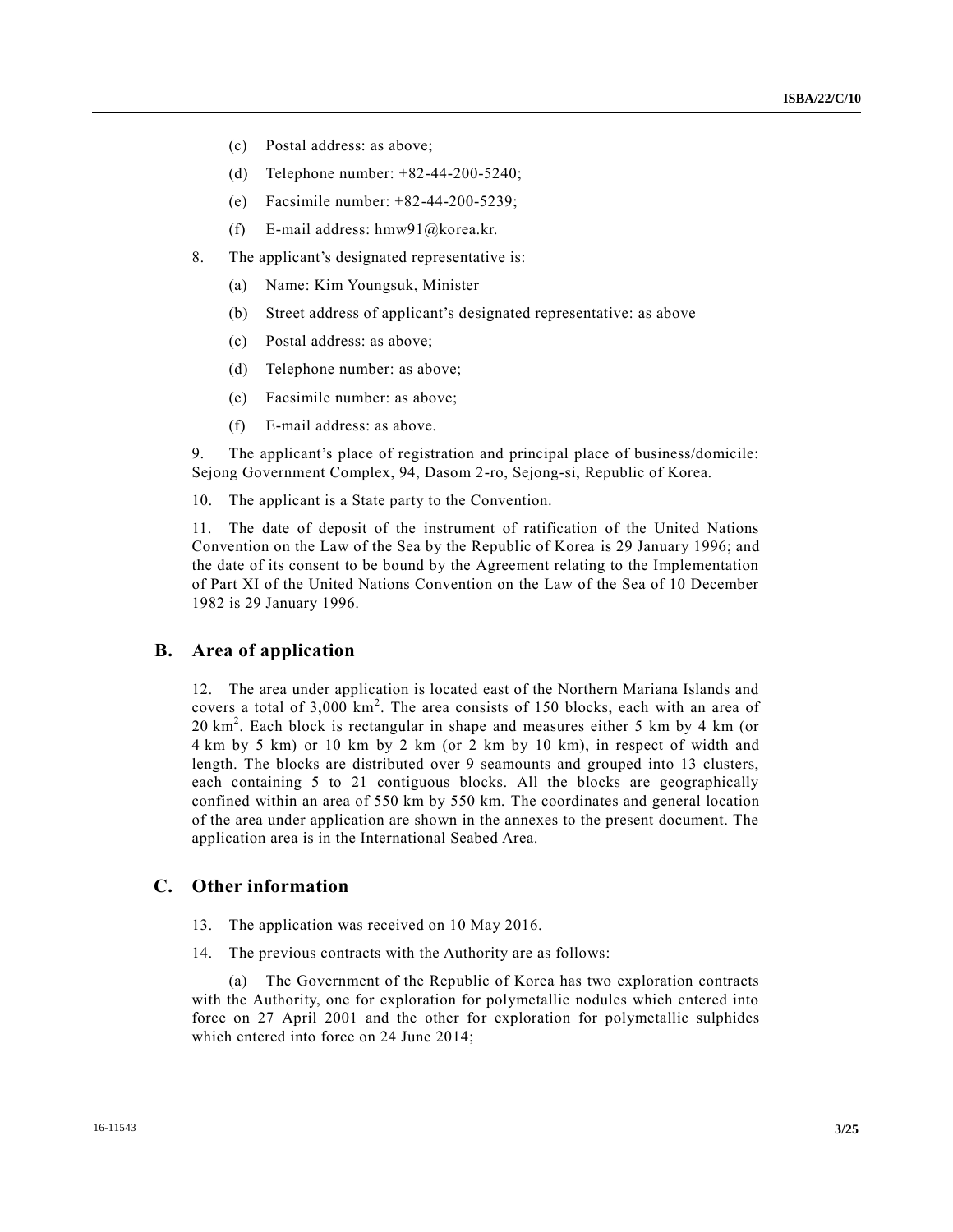- (c) Postal address: as above;
- (d) Telephone number: +82-44-200-5240;
- (e) Facsimile number: +82-44-200-5239;
- (f) E-mail address:  $h$ mw91@korea.kr.
- 8. The applicant's designated representative is:
	- (a) Name: Kim Youngsuk, Minister
	- (b) Street address of applicant's designated representative: as above
	- (c) Postal address: as above;
	- (d) Telephone number: as above;
	- (e) Facsimile number: as above;
	- (f) E-mail address: as above.

9. The applicant's place of registration and principal place of business/domicile: Sejong Government Complex, 94, Dasom 2-ro, Sejong-si, Republic of Korea.

10. The applicant is a State party to the Convention.

11. The date of deposit of the instrument of ratification of the United Nations Convention on the Law of the Sea by the Republic of Korea is 29 January 1996; and the date of its consent to be bound by the Agreement relating to the Implementation of Part XI of the United Nations Convention on the Law of the Sea of 10 December 1982 is 29 January 1996.

## **B. Area of application**

12. The area under application is located east of the Northern Mariana Islands and covers a total of  $3,000 \text{ km}^2$ . The area consists of 150 blocks, each with an area of 20 km<sup>2</sup> . Each block is rectangular in shape and measures either 5 km by 4 km (or 4 km by 5 km) or 10 km by 2 km (or 2 km by 10 km), in respect of width and length. The blocks are distributed over 9 seamounts and grouped into 13 clusters, each containing 5 to 21 contiguous blocks. All the blocks are geographically confined within an area of 550 km by 550 km. The coordinates and general location of the area under application are shown in the annexes to the present document. The application area is in the International Seabed Area.

### **C. Other information**

- 13. The application was received on 10 May 2016.
- 14. The previous contracts with the Authority are as follows:

The Government of the Republic of Korea has two exploration contracts with the Authority, one for exploration for polymetallic nodules which entered into force on 27 April 2001 and the other for exploration for polymetallic sulphides which entered into force on 24 June 2014;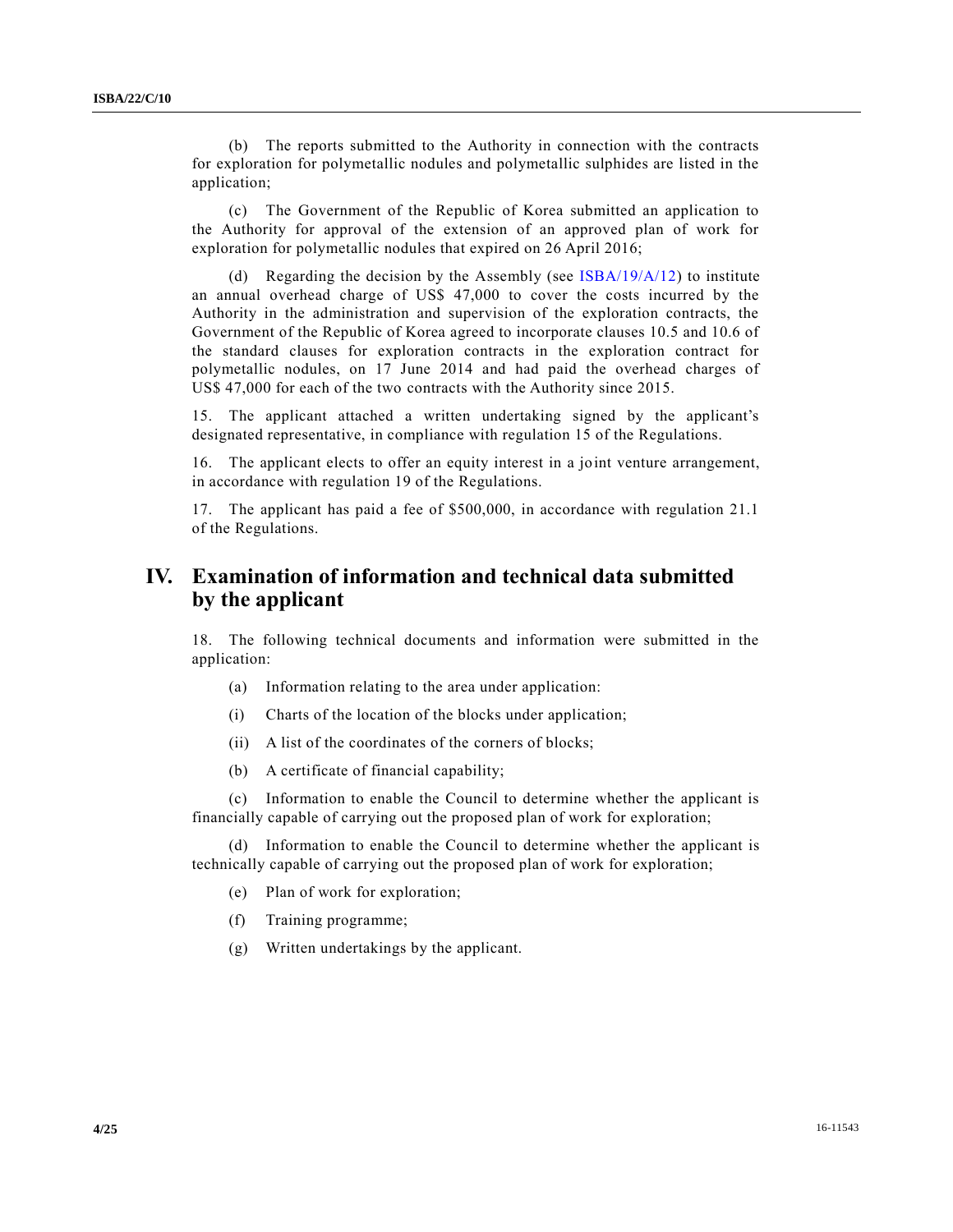(b) The reports submitted to the Authority in connection with the contracts for exploration for polymetallic nodules and polymetallic sulphides are listed in the application;

(c) The Government of the Republic of Korea submitted an application to the Authority for approval of the extension of an approved plan of work for exploration for polymetallic nodules that expired on 26 April 2016;

(d) Regarding the decision by the Assembly (see  $\frac{ISBA}{19/A/12}$ ) to institute an annual overhead charge of US\$ 47,000 to cover the costs incurred by the Authority in the administration and supervision of the exploration contracts, the Government of the Republic of Korea agreed to incorporate clauses 10.5 and 10.6 of the standard clauses for exploration contracts in the exploration contract for polymetallic nodules, on 17 June 2014 and had paid the overhead charges of US\$ 47,000 for each of the two contracts with the Authority since 2015.

15. The applicant attached a written undertaking signed by the applicant's designated representative, in compliance with regulation 15 of the Regulations.

16. The applicant elects to offer an equity interest in a joint venture arrangement, in accordance with regulation 19 of the Regulations.

17. The applicant has paid a fee of \$500,000, in accordance with regulation 21.1 of the Regulations.

## **IV. Examination of information and technical data submitted by the applicant**

18. The following technical documents and information were submitted in the application:

- (a) Information relating to the area under application:
- (i) Charts of the location of the blocks under application;
- (ii) A list of the coordinates of the corners of blocks;
- (b) A certificate of financial capability;

(c) Information to enable the Council to determine whether the applicant is financially capable of carrying out the proposed plan of work for exploration;

(d) Information to enable the Council to determine whether the applicant is technically capable of carrying out the proposed plan of work for exploration;

- (e) Plan of work for exploration;
- (f) Training programme;
- (g) Written undertakings by the applicant.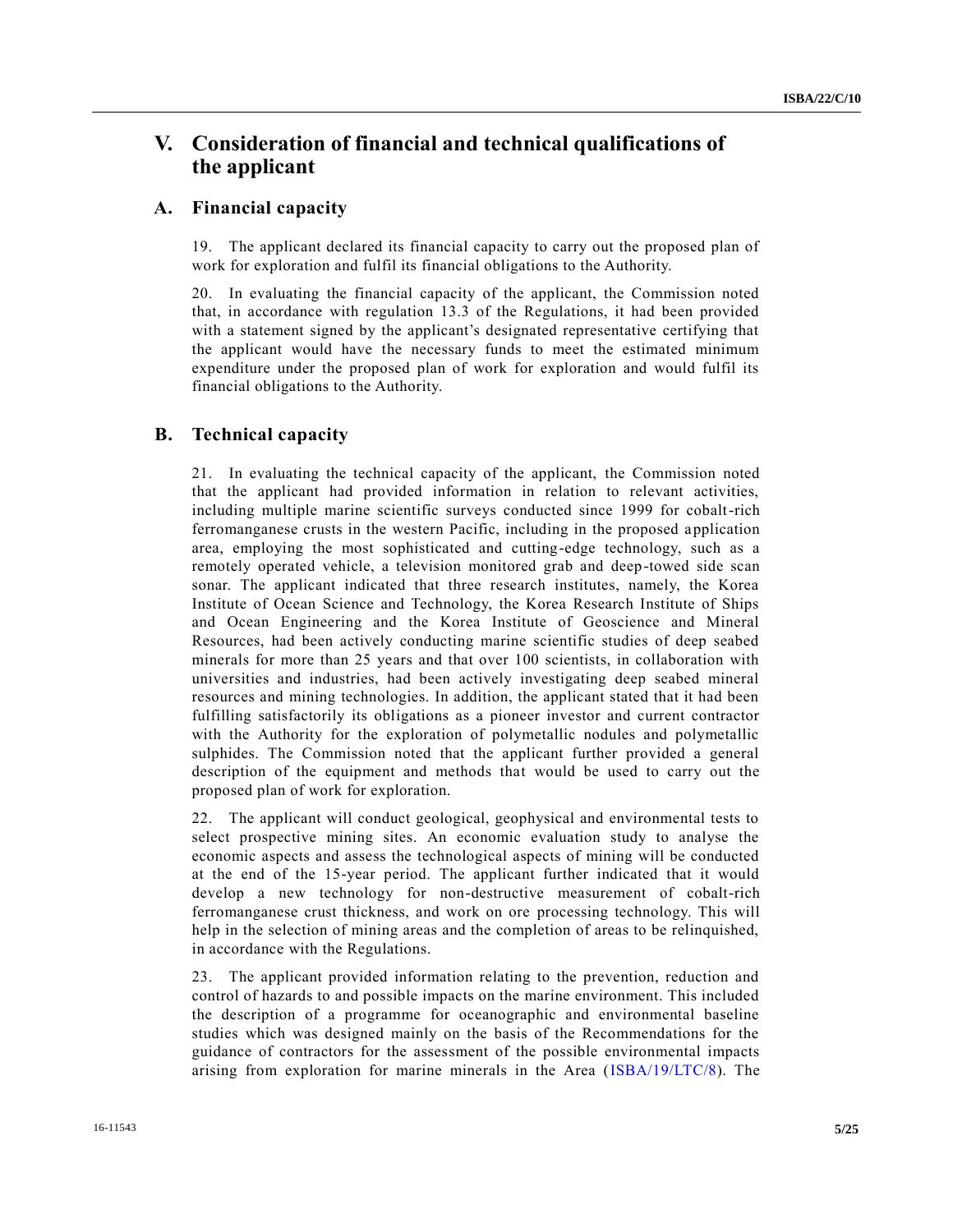## **V. Consideration of financial and technical qualifications of the applicant**

### **A. Financial capacity**

19. The applicant declared its financial capacity to carry out the proposed plan of work for exploration and fulfil its financial obligations to the Authority.

20. In evaluating the financial capacity of the applicant, the Commission noted that, in accordance with regulation 13.3 of the Regulations, it had been provided with a statement signed by the applicant's designated representative certifying that the applicant would have the necessary funds to meet the estimated minimum expenditure under the proposed plan of work for exploration and would fulfil its financial obligations to the Authority.

## **B. Technical capacity**

21. In evaluating the technical capacity of the applicant, the Commission noted that the applicant had provided information in relation to relevant activities, including multiple marine scientific surveys conducted since 1999 for cobalt-rich ferromanganese crusts in the western Pacific, including in the proposed application area, employing the most sophisticated and cutting-edge technology, such as a remotely operated vehicle, a television monitored grab and deep-towed side scan sonar. The applicant indicated that three research institutes, namely, the Korea Institute of Ocean Science and Technology, the Korea Research Institute of Ships and Ocean Engineering and the Korea Institute of Geoscience and Mineral Resources, had been actively conducting marine scientific studies of deep seabed minerals for more than 25 years and that over 100 scientists, in collaboration with universities and industries, had been actively investigating deep seabed mineral resources and mining technologies. In addition, the applicant stated that it had been fulfilling satisfactorily its obligations as a pioneer investor and current contractor with the Authority for the exploration of polymetallic nodules and polymetallic sulphides. The Commission noted that the applicant further provided a general description of the equipment and methods that would be used to carry out the proposed plan of work for exploration.

22. The applicant will conduct geological, geophysical and environmental tests to select prospective mining sites. An economic evaluation study to analyse the economic aspects and assess the technological aspects of mining will be conducted at the end of the 15-year period. The applicant further indicated that it would develop a new technology for non-destructive measurement of cobalt-rich ferromanganese crust thickness, and work on ore processing technology. This will help in the selection of mining areas and the completion of areas to be relinquished, in accordance with the Regulations.

23. The applicant provided information relating to the prevention, reduction and control of hazards to and possible impacts on the marine environment. This included the description of a programme for oceanographic and environmental baseline studies which was designed mainly on the basis of the Recommendations for the guidance of contractors for the assessment of the possible environmental impacts arising from exploration for marine minerals in the Area [\(ISBA/19/LTC/8\)](http://undocs.org/ISBA/19/LTC/8). The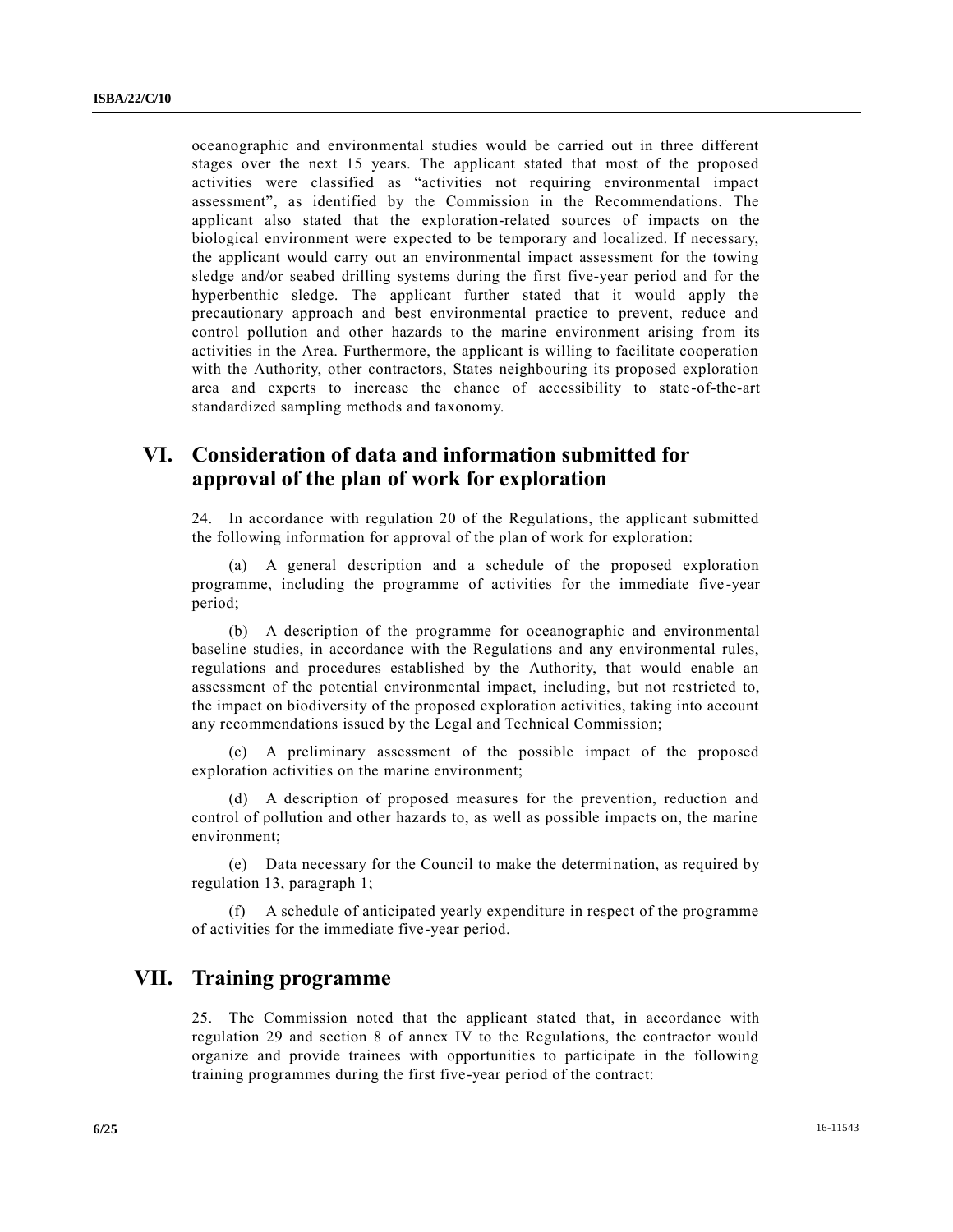oceanographic and environmental studies would be carried out in three different stages over the next 15 years. The applicant stated that most of the proposed activities were classified as "activities not requiring environmental impact assessment", as identified by the Commission in the Recommendations. The applicant also stated that the exploration-related sources of impacts on the biological environment were expected to be temporary and localized. If necessary, the applicant would carry out an environmental impact assessment for the towing sledge and/or seabed drilling systems during the first five-year period and for the hyperbenthic sledge. The applicant further stated that it would apply the precautionary approach and best environmental practice to prevent, reduce and control pollution and other hazards to the marine environment arising from its activities in the Area. Furthermore, the applicant is willing to facilitate cooperation with the Authority, other contractors, States neighbouring its proposed exploration area and experts to increase the chance of accessibility to state -of-the-art standardized sampling methods and taxonomy.

## **VI. Consideration of data and information submitted for approval of the plan of work for exploration**

24. In accordance with regulation 20 of the Regulations, the applicant submitted the following information for approval of the plan of work for exploration:

(a) A general description and a schedule of the proposed exploration programme, including the programme of activities for the immediate five -year period;

(b) A description of the programme for oceanographic and environmental baseline studies, in accordance with the Regulations and any environmental rules, regulations and procedures established by the Authority, that would enable an assessment of the potential environmental impact, including, but not restricted to, the impact on biodiversity of the proposed exploration activities, taking into account any recommendations issued by the Legal and Technical Commission;

(c) A preliminary assessment of the possible impact of the proposed exploration activities on the marine environment;

(d) A description of proposed measures for the prevention, reduction and control of pollution and other hazards to, as well as possible impacts on, the marine environment;

(e) Data necessary for the Council to make the determination, as required by regulation 13, paragraph 1;

(f) A schedule of anticipated yearly expenditure in respect of the programme of activities for the immediate five-year period.

## **VII. Training programme**

25. The Commission noted that the applicant stated that, in accordance with regulation 29 and section 8 of annex IV to the Regulations, the contractor would organize and provide trainees with opportunities to participate in the following training programmes during the first five-year period of the contract: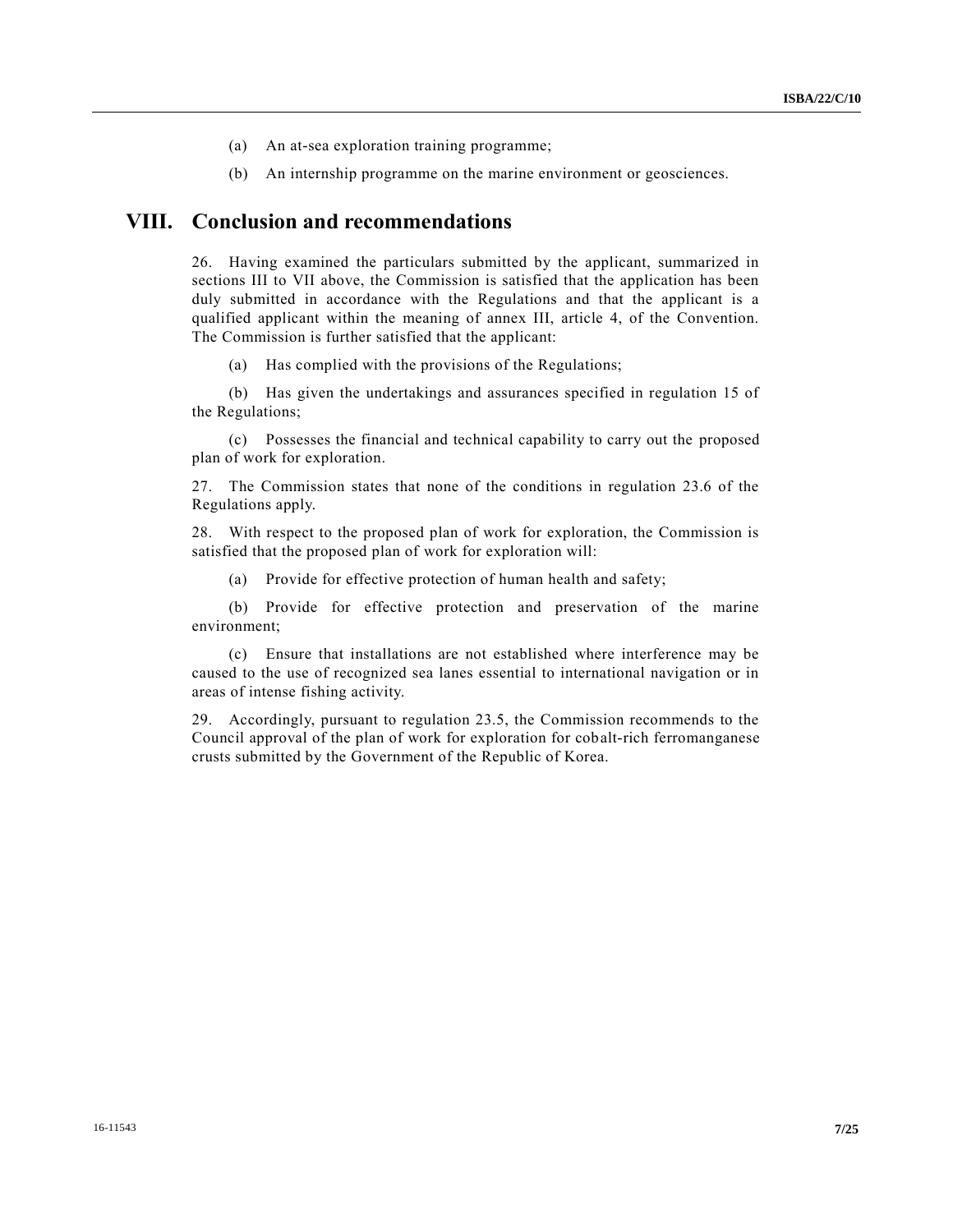- (a) An at-sea exploration training programme;
- (b) An internship programme on the marine environment or geosciences.

## **VIII. Conclusion and recommendations**

26. Having examined the particulars submitted by the applicant, summarized in sections III to VII above, the Commission is satisfied that the application has been duly submitted in accordance with the Regulations and that the applicant is a qualified applicant within the meaning of annex III, article 4, of the Convention. The Commission is further satisfied that the applicant:

(a) Has complied with the provisions of the Regulations;

(b) Has given the undertakings and assurances specified in regulation 15 of the Regulations;

(c) Possesses the financial and technical capability to carry out the proposed plan of work for exploration.

27. The Commission states that none of the conditions in regulation 23.6 of the Regulations apply.

28. With respect to the proposed plan of work for exploration, the Commission is satisfied that the proposed plan of work for exploration will:

(a) Provide for effective protection of human health and safety;

(b) Provide for effective protection and preservation of the marine environment;

(c) Ensure that installations are not established where interference may be caused to the use of recognized sea lanes essential to international navigation or in areas of intense fishing activity.

29. Accordingly, pursuant to regulation 23.5, the Commission recommends to the Council approval of the plan of work for exploration for cobalt-rich ferromanganese crusts submitted by the Government of the Republic of Korea.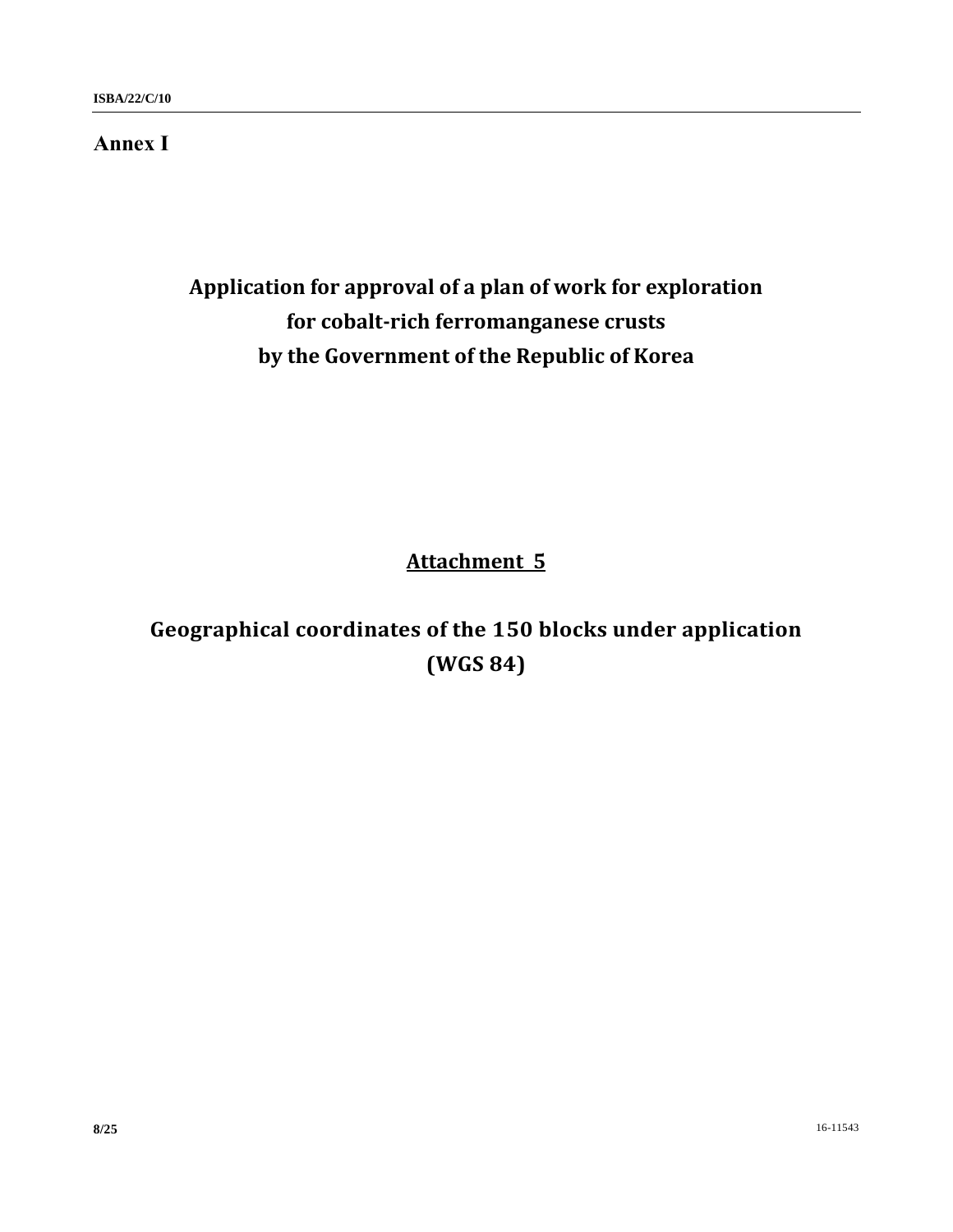## **Annex I**

# **Application for approval of a plan of work for exploration for cobalt-rich ferromanganese crusts by the Government of the Republic of Korea**

# **Attachment 5**

# **Geographical coordinates of the 150 blocks under application (WGS 84)**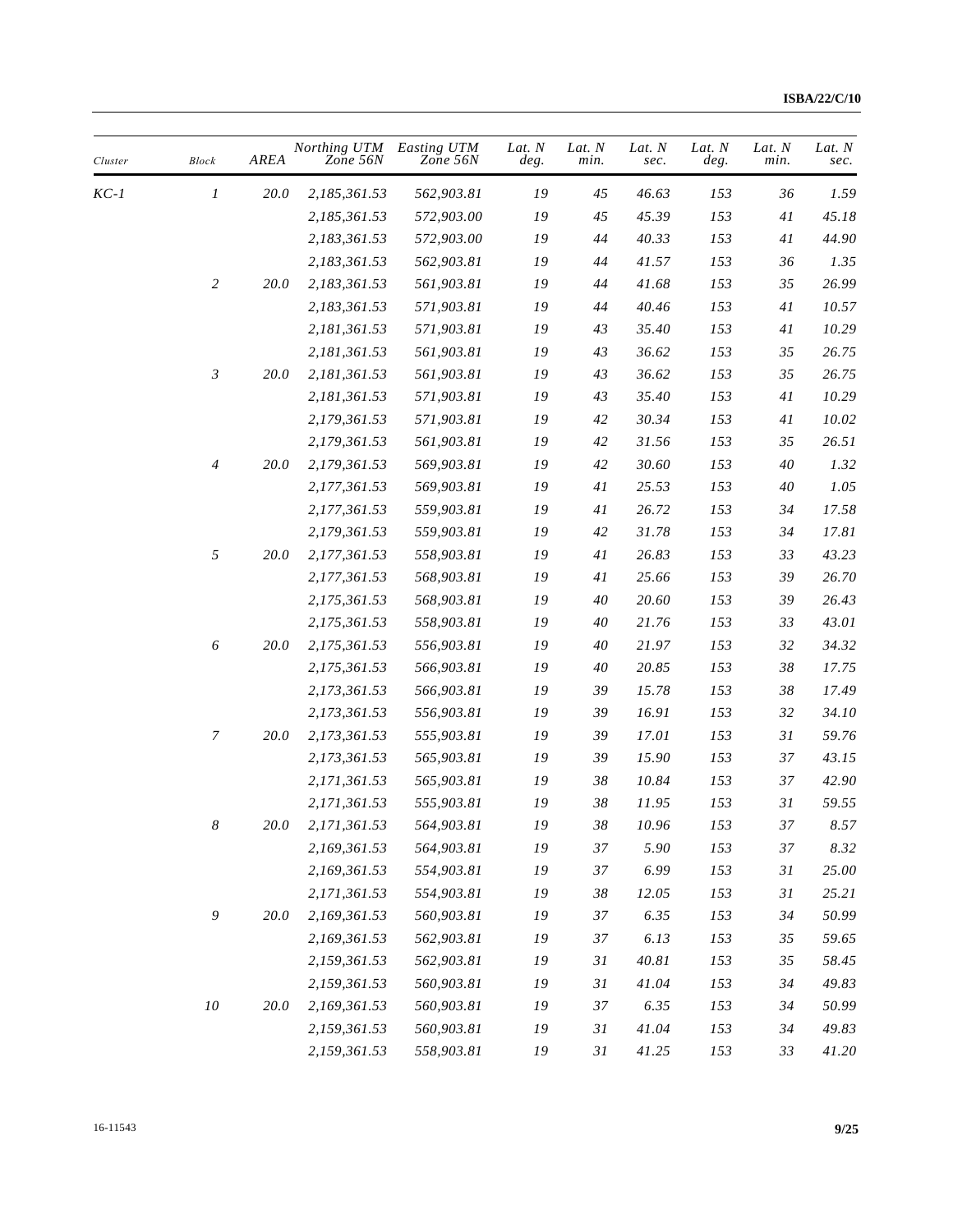| Cluster | <b>Block</b>     | AREA     | Northing UTM<br>Zone 56N | Easting UTM<br>Zone 56N | Lat. N<br>deg. | Lat. N<br>min. | Lat. N<br>sec. | Lat. N<br>deg. | Lat. N<br>min. | Lat. N<br>sec. |
|---------|------------------|----------|--------------------------|-------------------------|----------------|----------------|----------------|----------------|----------------|----------------|
| KC-1    | 1                | 20.0     | 2,185,361.53             | 562,903.81              | 19             | 45             | 46.63          | 153            | 36             | 1.59           |
|         |                  |          | 2,185,361.53             | 572,903.00              | 19             | 45             | 45.39          | 153            | 41             | 45.18          |
|         |                  |          | 2,183,361.53             | 572,903.00              | 19             | 44             | 40.33          | 153            | 41             | 44.90          |
|         |                  |          | 2,183,361.53             | 562,903.81              | 19             | 44             | 41.57          | 153            | 36             | 1.35           |
|         | $\overline{c}$   | 20.0     | 2,183,361.53             | 561,903.81              | 19             | 44             | 41.68          | 153            | 35             | 26.99          |
|         |                  |          | 2,183,361.53             | 571,903.81              | 19             | 44             | 40.46          | 153            | 41             | 10.57          |
|         |                  |          | 2,181,361.53             | 571,903.81              | 19             | 43             | 35.40          | 153            | 41             | 10.29          |
|         |                  |          | 2,181,361.53             | 561,903.81              | 19             | 43             | 36.62          | 153            | 35             | 26.75          |
|         | $\mathfrak{Z}$   | 20.0     | 2,181,361.53             | 561,903.81              | 19             | 43             | 36.62          | 153            | 35             | 26.75          |
|         |                  |          | 2,181,361.53             | 571,903.81              | 19             | 43             | 35.40          | 153            | 41             | 10.29          |
|         |                  |          | 2,179,361.53             | 571,903.81              | 19             | 42             | 30.34          | 153            | 41             | 10.02          |
|         |                  |          | 2,179,361.53             | 561,903.81              | 19             | 42             | 31.56          | 153            | 35             | 26.51          |
|         | 4                | 20.0     | 2,179,361.53             | 569,903.81              | 19             | $42\,$         | 30.60          | 153            | 40             | 1.32           |
|         |                  |          | 2,177,361.53             | 569,903.81              | 19             | 41             | 25.53          | 153            | 40             | 1.05           |
|         |                  |          | 2,177,361.53             | 559,903.81              | 19             | 41             | 26.72          | 153            | 34             | 17.58          |
|         |                  |          | 2,179,361.53             | 559,903.81              | 19             | 42             | 31.78          | 153            | 34             | 17.81          |
|         | 5                | 20.0     | 2,177,361.53             | 558,903.81              | 19             | $4\,$          | 26.83          | 153            | 33             | 43.23          |
|         |                  |          | 2,177,361.53             | 568,903.81              | 19             | 41             | 25.66          | 153            | 39             | 26.70          |
|         |                  |          | 2,175,361.53             | 568,903.81              | 19             | 40             | 20.60          | 153            | 39             | 26.43          |
|         |                  |          | 2,175,361.53             | 558,903.81              | 19             | 40             | 21.76          | 153            | 33             | 43.01          |
|         | 6                | 20.0     | 2,175,361.53             | 556,903.81              | 19             | 40             | 21.97          | 153            | 32             | 34.32          |
|         |                  |          | 2,175,361.53             | 566,903.81              | 19             | 40             | 20.85          | 153            | 38             | 17.75          |
|         |                  |          | 2,173,361.53             | 566,903.81              | 19             | 39             | 15.78          | 153            | 38             | 17.49          |
|         |                  |          | 2,173,361.53             | 556,903.81              | 19             | 39             | 16.91          | 153            | 32             | 34.10          |
|         | $\boldsymbol{7}$ | 20.0     | 2,173,361.53             | 555,903.81              | 19             | 39             | 17.01          | 153            | 31             | 59.76          |
|         |                  |          | 2,173,361.53             | 565,903.81              | 19             | 39             | 15.90          | 153            | 37             | 43.15          |
|         |                  |          | 2,171,361.53             | 565,903.81              | 19             | 38             | 10.84          | 153            | 37             | 42.90          |
|         |                  |          | 2,171,361.53             | 555,903.81              | 19             | 38             | 11.95          | 153            | 31             | 59.55          |
|         | $\boldsymbol{8}$ | $20.0\,$ | 2,171,361.53             | 564,903.81              | ${\it 19}$     | $38\,$         | 10.96          | 153            | $37\,$         | 8.57           |
|         |                  |          | 2,169,361.53             | 564,903.81              | 19             | $37\,$         | 5.90           | 153            | $37\,$         | $8.32\,$       |
|         |                  |          | 2,169,361.53             | 554,903.81              | ${\it 19}$     | 37             | 6.99           | 153            | 31             | 25.00          |
|         |                  |          | 2,171,361.53             | 554,903.81              | ${\it 19}$     | $38\,$         | 12.05          | 153            | $3\sqrt{l}$    | 25.21          |
|         | $\mathfrak g$    | 20.0     | 2,169,361.53             | 560,903.81              | 19             | 37             | 6.35           | 153            | 34             | 50.99          |
|         |                  |          | 2,169,361.53             | 562,903.81              | ${\it 19}$     | 37             | 6.13           | 153            | 35             | 59.65          |
|         |                  |          | 2,159,361.53             | 562,903.81              | 19             | $3\sqrt{l}$    | 40.81          | 153            | 35             | 58.45          |
|         |                  |          | 2,159,361.53             | 560,903.81              | ${\it 19}$     | 31             | 41.04          | 153            | 34             | 49.83          |
|         | ${\it 10}$       | 20.0     | 2,169,361.53             | 560,903.81              | 19             | 37             | 6.35           | 153            | 34             | 50.99          |
|         |                  |          | 2,159,361.53             | 560,903.81              | 19             | 31             | 41.04          | 153            | 34             | 49.83          |
|         |                  |          | 2,159,361.53             | 558,903.81              | ${\it 19}$     | $3\sqrt{l}$    | 41.25          | $153\,$        | 33             | 41.20          |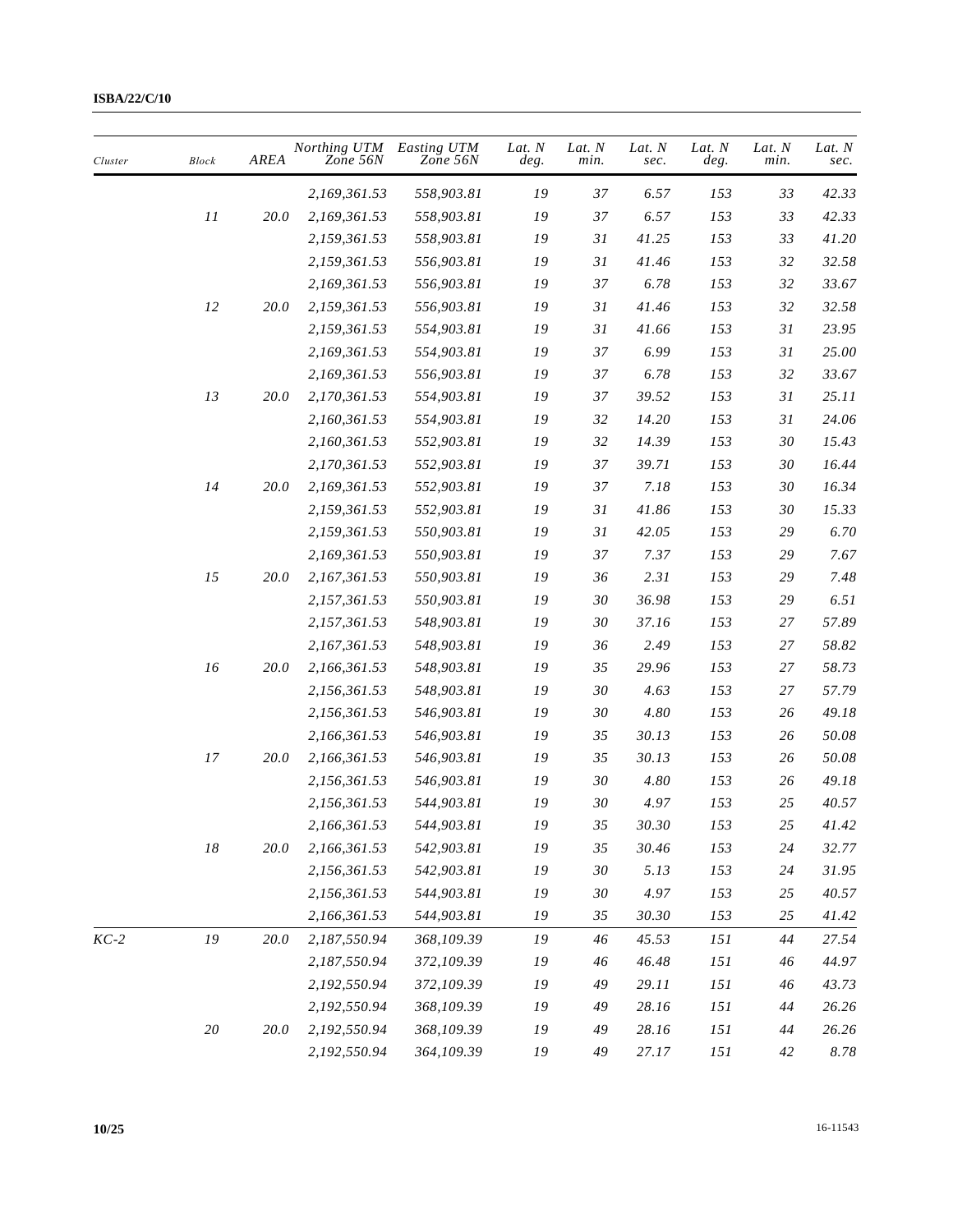| 33<br>2,169,361.53<br>558,903.81<br>19<br>37<br>6.57<br>153<br>$\cal{I}$<br>19<br>37<br>6.57<br>153<br>20.0<br>2,169,361.53<br>558,903.81<br>33<br>558,903.81<br>19<br>31<br>153<br>2,159,361.53<br>41.25<br>33<br>19<br>31<br>153<br>32<br>2,159,361.53<br>556,903.81<br>41.46<br>2,169,361.53<br>556,903.81<br>19<br>37<br>6.78<br>153<br>32<br>12<br>${\it 19}$<br>31<br>41.46<br>153<br>32<br>20.0<br>2,159,361.53<br>556,903.81<br>2,159,361.53<br>554,903.81<br>19<br>31<br>41.66<br>153<br>31<br>${\it 19}$<br>37<br>6.99<br>153<br>31<br>2,169,361.53<br>554,903.81<br>2,169,361.53<br>556,903.81<br>19<br>37<br>6.78<br>153<br>32<br>13<br>554,903.81<br>39.52<br>153<br>20.0<br>2,170,361.53<br>19<br>37<br>31<br>153<br>31<br>554,903.81<br>19<br>32<br>14.20<br>2,160,361.53<br>32<br>14.39<br>$30\,$<br>2,160,361.53<br>552,903.81<br>19<br>153<br>${\it 19}$<br>37<br>153<br>$30\,$<br>2,170,361.53<br>552,903.81<br>39.71<br>14<br>37<br>2,169,361.53<br>552,903.81<br>19<br>7.18<br>153<br>30<br><i>20.0</i><br>552,903.81<br>19<br>41.86<br>153<br>2,159,361.53<br>31<br>30<br>550,903.81<br>19<br>31<br>42.05<br>153<br>29<br>2,159,361.53<br>${\it 19}$<br>37<br>7.37<br>153<br>2,169,361.53<br>550,903.81<br>29<br>15<br>${\it 19}$<br>2.31<br>153<br>29<br>20.0<br>2,167,361.53<br>550,903.81<br>36<br>550,903.81<br>30<br>36.98<br>153<br>29<br>2,157,361.53<br>19<br>${\it 19}$<br>153<br>2,157,361.53<br>548,903.81<br>30<br>37.16<br>27<br>19<br>2,167,361.53<br>548,903.81<br>36<br>2.49<br>153<br>27<br>16<br>${\it 19}$<br>35<br>153<br>27<br>20.0<br>2,166,361.53<br>548,903.81<br>29.96<br>153<br>19<br>30<br>4.63<br>27<br>2,156,361.53<br>548,903.81 | 42.33<br>42.33<br>41.20<br>32.58<br>33.67<br>32.58<br>23.95<br>25.00 |
|--------------------------------------------------------------------------------------------------------------------------------------------------------------------------------------------------------------------------------------------------------------------------------------------------------------------------------------------------------------------------------------------------------------------------------------------------------------------------------------------------------------------------------------------------------------------------------------------------------------------------------------------------------------------------------------------------------------------------------------------------------------------------------------------------------------------------------------------------------------------------------------------------------------------------------------------------------------------------------------------------------------------------------------------------------------------------------------------------------------------------------------------------------------------------------------------------------------------------------------------------------------------------------------------------------------------------------------------------------------------------------------------------------------------------------------------------------------------------------------------------------------------------------------------------------------------------------------------------------------------------------------------------------------------------------------|----------------------------------------------------------------------|
|                                                                                                                                                                                                                                                                                                                                                                                                                                                                                                                                                                                                                                                                                                                                                                                                                                                                                                                                                                                                                                                                                                                                                                                                                                                                                                                                                                                                                                                                                                                                                                                                                                                                                      |                                                                      |
|                                                                                                                                                                                                                                                                                                                                                                                                                                                                                                                                                                                                                                                                                                                                                                                                                                                                                                                                                                                                                                                                                                                                                                                                                                                                                                                                                                                                                                                                                                                                                                                                                                                                                      |                                                                      |
|                                                                                                                                                                                                                                                                                                                                                                                                                                                                                                                                                                                                                                                                                                                                                                                                                                                                                                                                                                                                                                                                                                                                                                                                                                                                                                                                                                                                                                                                                                                                                                                                                                                                                      |                                                                      |
|                                                                                                                                                                                                                                                                                                                                                                                                                                                                                                                                                                                                                                                                                                                                                                                                                                                                                                                                                                                                                                                                                                                                                                                                                                                                                                                                                                                                                                                                                                                                                                                                                                                                                      |                                                                      |
|                                                                                                                                                                                                                                                                                                                                                                                                                                                                                                                                                                                                                                                                                                                                                                                                                                                                                                                                                                                                                                                                                                                                                                                                                                                                                                                                                                                                                                                                                                                                                                                                                                                                                      |                                                                      |
|                                                                                                                                                                                                                                                                                                                                                                                                                                                                                                                                                                                                                                                                                                                                                                                                                                                                                                                                                                                                                                                                                                                                                                                                                                                                                                                                                                                                                                                                                                                                                                                                                                                                                      |                                                                      |
|                                                                                                                                                                                                                                                                                                                                                                                                                                                                                                                                                                                                                                                                                                                                                                                                                                                                                                                                                                                                                                                                                                                                                                                                                                                                                                                                                                                                                                                                                                                                                                                                                                                                                      |                                                                      |
|                                                                                                                                                                                                                                                                                                                                                                                                                                                                                                                                                                                                                                                                                                                                                                                                                                                                                                                                                                                                                                                                                                                                                                                                                                                                                                                                                                                                                                                                                                                                                                                                                                                                                      |                                                                      |
|                                                                                                                                                                                                                                                                                                                                                                                                                                                                                                                                                                                                                                                                                                                                                                                                                                                                                                                                                                                                                                                                                                                                                                                                                                                                                                                                                                                                                                                                                                                                                                                                                                                                                      | 33.67                                                                |
|                                                                                                                                                                                                                                                                                                                                                                                                                                                                                                                                                                                                                                                                                                                                                                                                                                                                                                                                                                                                                                                                                                                                                                                                                                                                                                                                                                                                                                                                                                                                                                                                                                                                                      | 25.11                                                                |
|                                                                                                                                                                                                                                                                                                                                                                                                                                                                                                                                                                                                                                                                                                                                                                                                                                                                                                                                                                                                                                                                                                                                                                                                                                                                                                                                                                                                                                                                                                                                                                                                                                                                                      | 24.06                                                                |
|                                                                                                                                                                                                                                                                                                                                                                                                                                                                                                                                                                                                                                                                                                                                                                                                                                                                                                                                                                                                                                                                                                                                                                                                                                                                                                                                                                                                                                                                                                                                                                                                                                                                                      | 15.43                                                                |
|                                                                                                                                                                                                                                                                                                                                                                                                                                                                                                                                                                                                                                                                                                                                                                                                                                                                                                                                                                                                                                                                                                                                                                                                                                                                                                                                                                                                                                                                                                                                                                                                                                                                                      | 16.44                                                                |
|                                                                                                                                                                                                                                                                                                                                                                                                                                                                                                                                                                                                                                                                                                                                                                                                                                                                                                                                                                                                                                                                                                                                                                                                                                                                                                                                                                                                                                                                                                                                                                                                                                                                                      | 16.34                                                                |
|                                                                                                                                                                                                                                                                                                                                                                                                                                                                                                                                                                                                                                                                                                                                                                                                                                                                                                                                                                                                                                                                                                                                                                                                                                                                                                                                                                                                                                                                                                                                                                                                                                                                                      | 15.33                                                                |
|                                                                                                                                                                                                                                                                                                                                                                                                                                                                                                                                                                                                                                                                                                                                                                                                                                                                                                                                                                                                                                                                                                                                                                                                                                                                                                                                                                                                                                                                                                                                                                                                                                                                                      | 6.70                                                                 |
|                                                                                                                                                                                                                                                                                                                                                                                                                                                                                                                                                                                                                                                                                                                                                                                                                                                                                                                                                                                                                                                                                                                                                                                                                                                                                                                                                                                                                                                                                                                                                                                                                                                                                      | 7.67                                                                 |
|                                                                                                                                                                                                                                                                                                                                                                                                                                                                                                                                                                                                                                                                                                                                                                                                                                                                                                                                                                                                                                                                                                                                                                                                                                                                                                                                                                                                                                                                                                                                                                                                                                                                                      | 7.48                                                                 |
|                                                                                                                                                                                                                                                                                                                                                                                                                                                                                                                                                                                                                                                                                                                                                                                                                                                                                                                                                                                                                                                                                                                                                                                                                                                                                                                                                                                                                                                                                                                                                                                                                                                                                      | 6.51                                                                 |
|                                                                                                                                                                                                                                                                                                                                                                                                                                                                                                                                                                                                                                                                                                                                                                                                                                                                                                                                                                                                                                                                                                                                                                                                                                                                                                                                                                                                                                                                                                                                                                                                                                                                                      | 57.89                                                                |
|                                                                                                                                                                                                                                                                                                                                                                                                                                                                                                                                                                                                                                                                                                                                                                                                                                                                                                                                                                                                                                                                                                                                                                                                                                                                                                                                                                                                                                                                                                                                                                                                                                                                                      | 58.82                                                                |
|                                                                                                                                                                                                                                                                                                                                                                                                                                                                                                                                                                                                                                                                                                                                                                                                                                                                                                                                                                                                                                                                                                                                                                                                                                                                                                                                                                                                                                                                                                                                                                                                                                                                                      | 58.73                                                                |
|                                                                                                                                                                                                                                                                                                                                                                                                                                                                                                                                                                                                                                                                                                                                                                                                                                                                                                                                                                                                                                                                                                                                                                                                                                                                                                                                                                                                                                                                                                                                                                                                                                                                                      | 57.79                                                                |
| 546,903.81<br>4.80<br>153<br>2,156,361.53<br>19<br>30<br>26                                                                                                                                                                                                                                                                                                                                                                                                                                                                                                                                                                                                                                                                                                                                                                                                                                                                                                                                                                                                                                                                                                                                                                                                                                                                                                                                                                                                                                                                                                                                                                                                                          | 49.18                                                                |
| 153<br>2,166,361.53<br>546,903.81<br>19<br>35<br>30.13<br>26                                                                                                                                                                                                                                                                                                                                                                                                                                                                                                                                                                                                                                                                                                                                                                                                                                                                                                                                                                                                                                                                                                                                                                                                                                                                                                                                                                                                                                                                                                                                                                                                                         | 50.08                                                                |
| $17\,$<br>35<br>20.0<br>2,166,361.53<br>546,903.81<br>19<br>30.13<br>153<br>26                                                                                                                                                                                                                                                                                                                                                                                                                                                                                                                                                                                                                                                                                                                                                                                                                                                                                                                                                                                                                                                                                                                                                                                                                                                                                                                                                                                                                                                                                                                                                                                                       | 50.08                                                                |
| 2,156,361.53<br>546,903.81<br>19<br>30<br>4.80<br>153<br>26                                                                                                                                                                                                                                                                                                                                                                                                                                                                                                                                                                                                                                                                                                                                                                                                                                                                                                                                                                                                                                                                                                                                                                                                                                                                                                                                                                                                                                                                                                                                                                                                                          | 49.18                                                                |
| 153<br>25<br>2,156,361.53<br>544,903.81<br>19<br>30<br>4.97                                                                                                                                                                                                                                                                                                                                                                                                                                                                                                                                                                                                                                                                                                                                                                                                                                                                                                                                                                                                                                                                                                                                                                                                                                                                                                                                                                                                                                                                                                                                                                                                                          | 40.57                                                                |
| 2,166,361.53<br>544,903.81<br>19<br>35<br>30.30<br>153<br>25                                                                                                                                                                                                                                                                                                                                                                                                                                                                                                                                                                                                                                                                                                                                                                                                                                                                                                                                                                                                                                                                                                                                                                                                                                                                                                                                                                                                                                                                                                                                                                                                                         | 41.42                                                                |
| $18\,$<br>${\it 19}$<br>30.46<br>153<br>24<br>20.0<br>2,166,361.53<br>542,903.81<br>35                                                                                                                                                                                                                                                                                                                                                                                                                                                                                                                                                                                                                                                                                                                                                                                                                                                                                                                                                                                                                                                                                                                                                                                                                                                                                                                                                                                                                                                                                                                                                                                               | 32.77                                                                |
| 542,903.81<br>19<br>153<br>2,156,361.53<br>30<br>5.13<br>24                                                                                                                                                                                                                                                                                                                                                                                                                                                                                                                                                                                                                                                                                                                                                                                                                                                                                                                                                                                                                                                                                                                                                                                                                                                                                                                                                                                                                                                                                                                                                                                                                          | 31.95                                                                |
| ${\it 19}$<br>4.97<br>153<br>2,156,361.53<br>544,903.81<br>30<br>25                                                                                                                                                                                                                                                                                                                                                                                                                                                                                                                                                                                                                                                                                                                                                                                                                                                                                                                                                                                                                                                                                                                                                                                                                                                                                                                                                                                                                                                                                                                                                                                                                  | 40.57                                                                |
| ${\it 19}$<br>2,166,361.53<br>35<br>30.30<br>153<br>25<br>544,903.81                                                                                                                                                                                                                                                                                                                                                                                                                                                                                                                                                                                                                                                                                                                                                                                                                                                                                                                                                                                                                                                                                                                                                                                                                                                                                                                                                                                                                                                                                                                                                                                                                 | 41.42                                                                |
| ${\it I9}$<br>2,187,550.94<br>19<br>$KC-2$<br>20.0<br>368,109.39<br>46<br>45.53<br>151<br>44                                                                                                                                                                                                                                                                                                                                                                                                                                                                                                                                                                                                                                                                                                                                                                                                                                                                                                                                                                                                                                                                                                                                                                                                                                                                                                                                                                                                                                                                                                                                                                                         | 27.54                                                                |
| 372,109.39<br>${\it 19}$<br>46.48<br>2,187,550.94<br>46<br>151<br>46                                                                                                                                                                                                                                                                                                                                                                                                                                                                                                                                                                                                                                                                                                                                                                                                                                                                                                                                                                                                                                                                                                                                                                                                                                                                                                                                                                                                                                                                                                                                                                                                                 | 44.97                                                                |
| 372,109.39<br>2,192,550.94<br>19<br>49<br>29.11<br>151<br>46                                                                                                                                                                                                                                                                                                                                                                                                                                                                                                                                                                                                                                                                                                                                                                                                                                                                                                                                                                                                                                                                                                                                                                                                                                                                                                                                                                                                                                                                                                                                                                                                                         | 43.73                                                                |
| 368,109.39<br>19<br>28.16<br>151<br>2,192,550.94<br>49<br>44                                                                                                                                                                                                                                                                                                                                                                                                                                                                                                                                                                                                                                                                                                                                                                                                                                                                                                                                                                                                                                                                                                                                                                                                                                                                                                                                                                                                                                                                                                                                                                                                                         | 26.26                                                                |
| $20\,$<br>2,192,550.94<br>368,109.39<br>20.0<br>19<br>49<br>28.16<br>151<br>44                                                                                                                                                                                                                                                                                                                                                                                                                                                                                                                                                                                                                                                                                                                                                                                                                                                                                                                                                                                                                                                                                                                                                                                                                                                                                                                                                                                                                                                                                                                                                                                                       | 26.26                                                                |
| 364,109.39<br>151<br>2,192,550.94<br>19<br>49<br>27.17<br>42                                                                                                                                                                                                                                                                                                                                                                                                                                                                                                                                                                                                                                                                                                                                                                                                                                                                                                                                                                                                                                                                                                                                                                                                                                                                                                                                                                                                                                                                                                                                                                                                                         | $8.78\,$                                                             |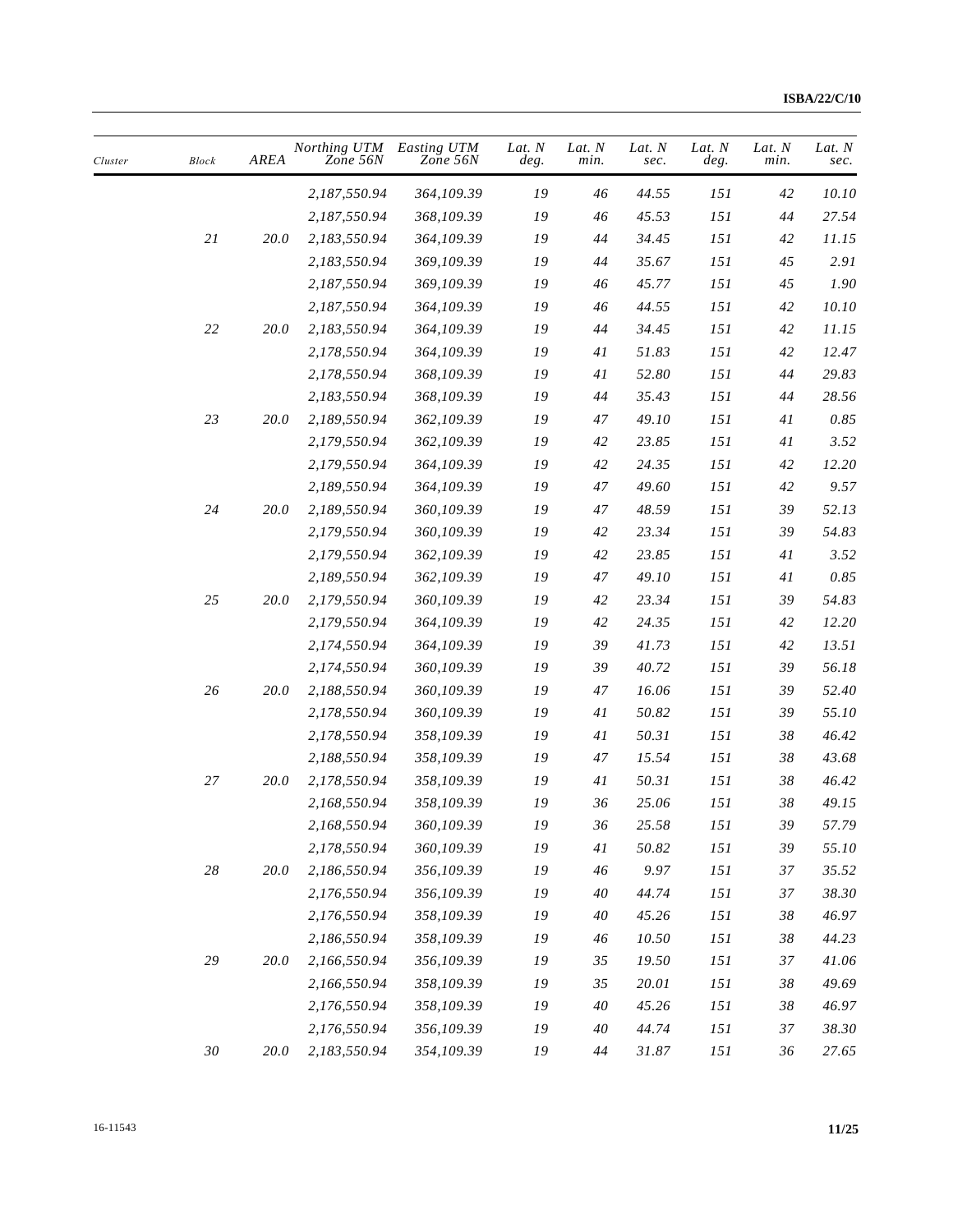| Cluster | <b>Block</b> | AREA     | Northing UTM<br>Zone 56N | Easting UTM<br>Zone 56N | Lat. N<br>deg. | Lat. N<br>min. | Lat. N<br>sec. | Lat. N<br>deg. | Lat. N<br>min. | Lat. N<br>sec. |
|---------|--------------|----------|--------------------------|-------------------------|----------------|----------------|----------------|----------------|----------------|----------------|
|         |              |          | 2,187,550.94             | 364,109.39              | 19             | 46             | 44.55          | 151            | 42             | 10.10          |
|         |              |          | 2,187,550.94             | 368,109.39              | 19             | 46             | 45.53          | 151            | 44             | 27.54          |
|         | $2\sqrt{l}$  | 20.0     | 2,183,550.94             | 364,109.39              | 19             | 44             | 34.45          | 151            | 42             | 11.15          |
|         |              |          | 2,183,550.94             | 369,109.39              | 19             | 44             | 35.67          | 151            | 45             | 2.91           |
|         |              |          | 2,187,550.94             | 369,109.39              | 19             | 46             | 45.77          | 151            | 45             | 1.90           |
|         |              |          | 2,187,550.94             | 364,109.39              | 19             | 46             | 44.55          | 151            | 42             | 10.10          |
|         | $22\,$       | 20.0     | 2,183,550.94             | 364,109.39              | 19             | 44             | 34.45          | 151            | 42             | 11.15          |
|         |              |          | 2,178,550.94             | 364,109.39              | 19             | 41             | 51.83          | 151            | 42             | 12.47          |
|         |              |          | 2,178,550.94             | 368,109.39              | 19             | 41             | 52.80          | 151            | 44             | 29.83          |
|         |              |          | 2,183,550.94             | 368,109.39              | 19             | 44             | 35.43          | 151            | 44             | 28.56          |
|         | 23           | 20.0     | 2,189,550.94             | 362,109.39              | 19             | 47             | 49.10          | 151            | 41             | 0.85           |
|         |              |          | 2,179,550.94             | 362,109.39              | 19             | 42             | 23.85          | 151            | $4\,$ $\,$     | 3.52           |
|         |              |          | 2,179,550.94             | 364,109.39              | 19             | 42             | 24.35          | 151            | 42             | 12.20          |
|         |              |          | 2,189,550.94             | 364,109.39              | 19             | 47             | 49.60          | 151            | 42             | 9.57           |
|         | $24\,$       | 20.0     | 2,189,550.94             | 360,109.39              | 19             | 47             | 48.59          | 151            | 39             | 52.13          |
|         |              |          | 2,179,550.94             | 360,109.39              | 19             | 42             | 23.34          | 151            | 39             | 54.83          |
|         |              |          | 2,179,550.94             | 362,109.39              | 19             | 42             | 23.85          | 151            | 41             | 3.52           |
|         |              |          | 2,189,550.94             | 362,109.39              | 19             | 47             | 49.10          | 151            | 41             | 0.85           |
|         | 25           | 20.0     | 2,179,550.94             | 360,109.39              | 19             | 42             | 23.34          | 151            | 39             | 54.83          |
|         |              |          | 2,179,550.94             | 364,109.39              | 19             | 42             | 24.35          | 151            | 42             | 12.20          |
|         |              |          | 2,174,550.94             | 364,109.39              | 19             | 39             | 41.73          | 151            | 42             | 13.51          |
|         |              |          | 2,174,550.94             | 360,109.39              | 19             | 39             | 40.72          | 151            | 39             | 56.18          |
|         | 26           | 20.0     | 2,188,550.94             | 360,109.39              | 19             | 47             | 16.06          | 151            | 39             | 52.40          |
|         |              |          | 2,178,550.94             | 360,109.39              | 19             | 41             | 50.82          | 151            | 39             | 55.10          |
|         |              |          | 2,178,550.94             | 358,109.39              | 19             | 41             | 50.31          | 151            | 38             | 46.42          |
|         |              |          | 2,188,550.94             | 358,109.39              | 19             | 47             | 15.54          | 151            | 38             | 43.68          |
|         | 27           | 20.0     | 2,178,550.94             | 358,109.39              | 19             | 41             | 50.31          | 151            | 38             | 46.42          |
|         |              |          | 2,168,550.94             | 358,109.39              | 19             | 36             | 25.06          | 151            | 38             | 49.15          |
|         |              |          | 2,168,550.94             | 360,109.39              | ${\it I9}$     | 36             | 25.58          | $151\,$        | 39             | 57.79          |
|         |              |          | 2,178,550.94             | 360,109.39              | ${\it 19}$     | $4\sqrt{l}$    | 50.82          | 151            | 39             | 55.10          |
|         | $28\,$       | $20.0\,$ | 2,186,550.94             | 356,109.39              | ${\it 19}$     | 46             | 9.97           | 151            | 37             | 35.52          |
|         |              |          | 2,176,550.94             | 356,109.39              | ${\it 19}$     | 40             | 44.74          | $151\,$        | 37             | 38.30          |
|         |              |          | 2,176,550.94             | 358,109.39              | 19             | 40             | 45.26          | 151            | $38\,$         | 46.97          |
|         |              |          | 2,186,550.94             | 358,109.39              | ${\it 19}$     | 46             | 10.50          | 151            | $38\,$         | 44.23          |
|         | $\sqrt{29}$  | 20.0     | 2,166,550.94             | 356,109.39              | 19             | 35             | 19.50          | 151            | 37             | 41.06          |
|         |              |          | 2,166,550.94             | 358,109.39              | ${\it 19}$     | 35             | 20.01          | 151            | 38             | 49.69          |
|         |              |          | 2,176,550.94             | 358,109.39              | 19             | $40\,$         | 45.26          | 151            | 38             | 46.97          |
|         |              |          | 2,176,550.94             | 356,109.39              | 19             | 40             | 44.74          | 151            | 37             | 38.30          |
|         | $30\,$       | $20.0\,$ | 2,183,550.94             | 354,109.39              | ${\it 19}$     | $44$           | 31.87          | 151            | $36\,$         | 27.65          |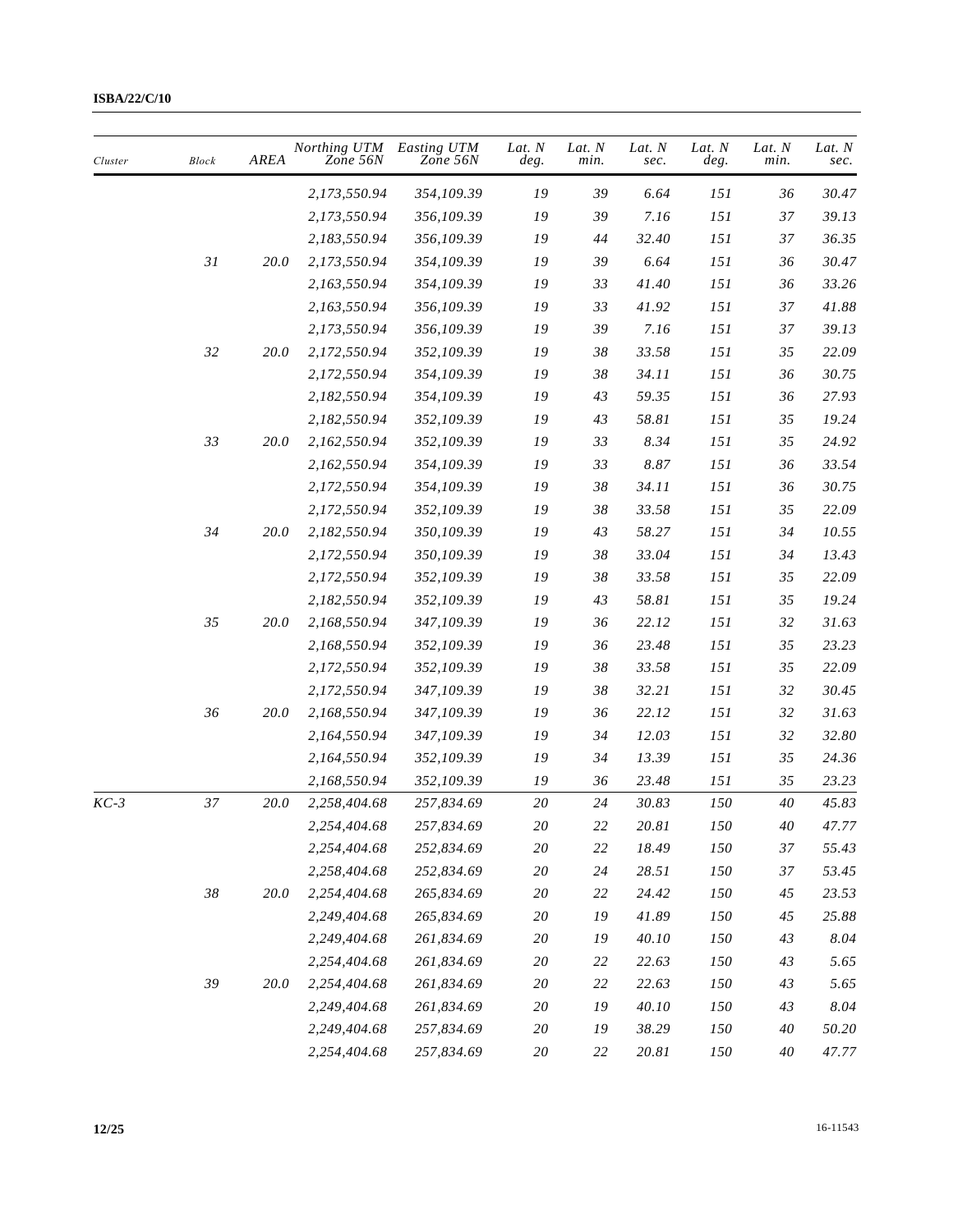| Cluster | <b>Block</b> | AREA     | Northing UTM<br>Zone 56N | Easting UTM<br>Zone 56N | Lat. N<br>deg. | Lat. N<br>min. | Lat. N<br>sec. | Lat. N<br>deg. | Lat. N<br>min. | Lat. N<br>sec. |
|---------|--------------|----------|--------------------------|-------------------------|----------------|----------------|----------------|----------------|----------------|----------------|
|         |              |          | 2,173,550.94             | 354,109.39              | 19             | 39             | 6.64           | 151            | 36             | 30.47          |
|         |              |          | 2,173,550.94             | 356,109.39              | 19             | 39             | 7.16           | 151            | 37             | 39.13          |
|         |              |          | 2,183,550.94             | 356,109.39              | 19             | 44             | 32.40          | 151            | 37             | 36.35          |
|         | 31           | 20.0     | 2,173,550.94             | 354,109.39              | 19             | 39             | 6.64           | 151            | 36             | 30.47          |
|         |              |          | 2,163,550.94             | 354,109.39              | 19             | 33             | 41.40          | 151            | 36             | 33.26          |
|         |              |          | 2,163,550.94             | 356,109.39              | 19             | 33             | 41.92          | 151            | 37             | 41.88          |
|         |              |          | 2,173,550.94             | 356,109.39              | 19             | 39             | 7.16           | 151            | 37             | 39.13          |
|         | 32           | 20.0     | 2,172,550.94             | 352,109.39              | 19             | 38             | 33.58          | 151            | 35             | 22.09          |
|         |              |          | 2,172,550.94             | 354,109.39              | 19             | 38             | 34.11          | 151            | 36             | 30.75          |
|         |              |          | 2,182,550.94             | 354,109.39              | 19             | 43             | 59.35          | 151            | 36             | 27.93          |
|         |              |          | 2,182,550.94             | 352,109.39              | 19             | 43             | 58.81          | 151            | 35             | 19.24          |
|         | 33           | 20.0     | 2,162,550.94             | 352,109.39              | 19             | 33             | 8.34           | 151            | 35             | 24.92          |
|         |              |          | 2,162,550.94             | 354,109.39              | 19             | 33             | 8.87           | 151            | 36             | 33.54          |
|         |              |          | 2,172,550.94             | 354,109.39              | 19             | 38             | 34.11          | 151            | 36             | 30.75          |
|         |              |          | 2,172,550.94             | 352,109.39              | 19             | 38             | 33.58          | 151            | 35             | 22.09          |
|         | 34           | 20.0     | 2,182,550.94             | 350,109.39              | 19             | 43             | 58.27          | 151            | 34             | 10.55          |
|         |              |          | 2,172,550.94             | 350,109.39              | 19             | $38\,$         | 33.04          | 151            | 34             | 13.43          |
|         |              |          | 2,172,550.94             | 352,109.39              | 19             | 38             | 33.58          | 151            | 35             | 22.09          |
|         |              |          | 2,182,550.94             | 352,109.39              | 19             | 43             | 58.81          | 151            | 35             | 19.24          |
|         | 35           | 20.0     | 2,168,550.94             | 347,109.39              | 19             | 36             | 22.12          | 151            | 32             | 31.63          |
|         |              |          | 2,168,550.94             | 352,109.39              | 19             | 36             | 23.48          | 151            | 35             | 23.23          |
|         |              |          | 2,172,550.94             | 352,109.39              | ${\it 19}$     | 38             | 33.58          | 151            | 35             | 22.09          |
|         |              |          | 2,172,550.94             | 347,109.39              | 19             | $38\,$         | 32.21          | 151            | 32             | 30.45          |
|         | 36           | 20.0     | 2,168,550.94             | 347,109.39              | 19             | 36             | 22.12          | 151            | 32             | 31.63          |
|         |              |          | 2,164,550.94             | 347,109.39              | 19             | 34             | 12.03          | 151            | 32             | 32.80          |
|         |              |          | 2,164,550.94             | 352,109.39              | 19             | 34             | 13.39          | 151            | 35             | 24.36          |
|         |              |          | 2,168,550.94             | 352,109.39              | 19             | 36             | 23.48          | 151            | 35             | 23.23          |
| $KC-3$  | 37           | $20.0\,$ | 2,258,404.68             | 257,834.69              | 20             | 24             | 30.83          | 150            | 40             | 45.83          |
|         |              |          | 2,254,404.68             | 257,834.69              | $20\,$         | 22             | 20.81          | 150            | $40\,$         | 47.77          |
|         |              |          | 2,254,404.68             | 252,834.69              | $20\,$         | $22\,$         | 18.49          | 150            | 37             | 55.43          |
|         |              |          | 2,258,404.68             | 252,834.69              | 20             | 24             | 28.51          | 150            | 37             | 53.45          |
|         | $38\,$       | 20.0     | 2,254,404.68             | 265,834.69              | $20\,$         | 22             | 24.42          | 150            | 45             | 23.53          |
|         |              |          | 2,249,404.68             | 265,834.69              | $20\,$         | 19             | 41.89          | 150            | 45             | 25.88          |
|         |              |          | 2,249,404.68             | 261,834.69              | $20\,$         | 19             | 40.10          | 150            | 43             | $8.04\,$       |
|         |              |          | 2,254,404.68             | 261,834.69              | $20\,$         | 22             | 22.63          | 150            | 43             | 5.65           |
|         | 39           | 20.0     | 2,254,404.68             | 261,834.69              | 20             | 22             | 22.63          | 150            | 43             | 5.65           |
|         |              |          | 2,249,404.68             | 261,834.69              | $20\,$         | 19             | 40.10          | 150            | 43             | $8.04\,$       |
|         |              |          | 2,249,404.68             | 257,834.69              | 20             | 19             | 38.29          | 150            | $40\,$         | 50.20          |
|         |              |          | 2,254,404.68             | 257,834.69              | $20\,$         | $22\,$         | 20.81          | 150            | 40             | 47.77          |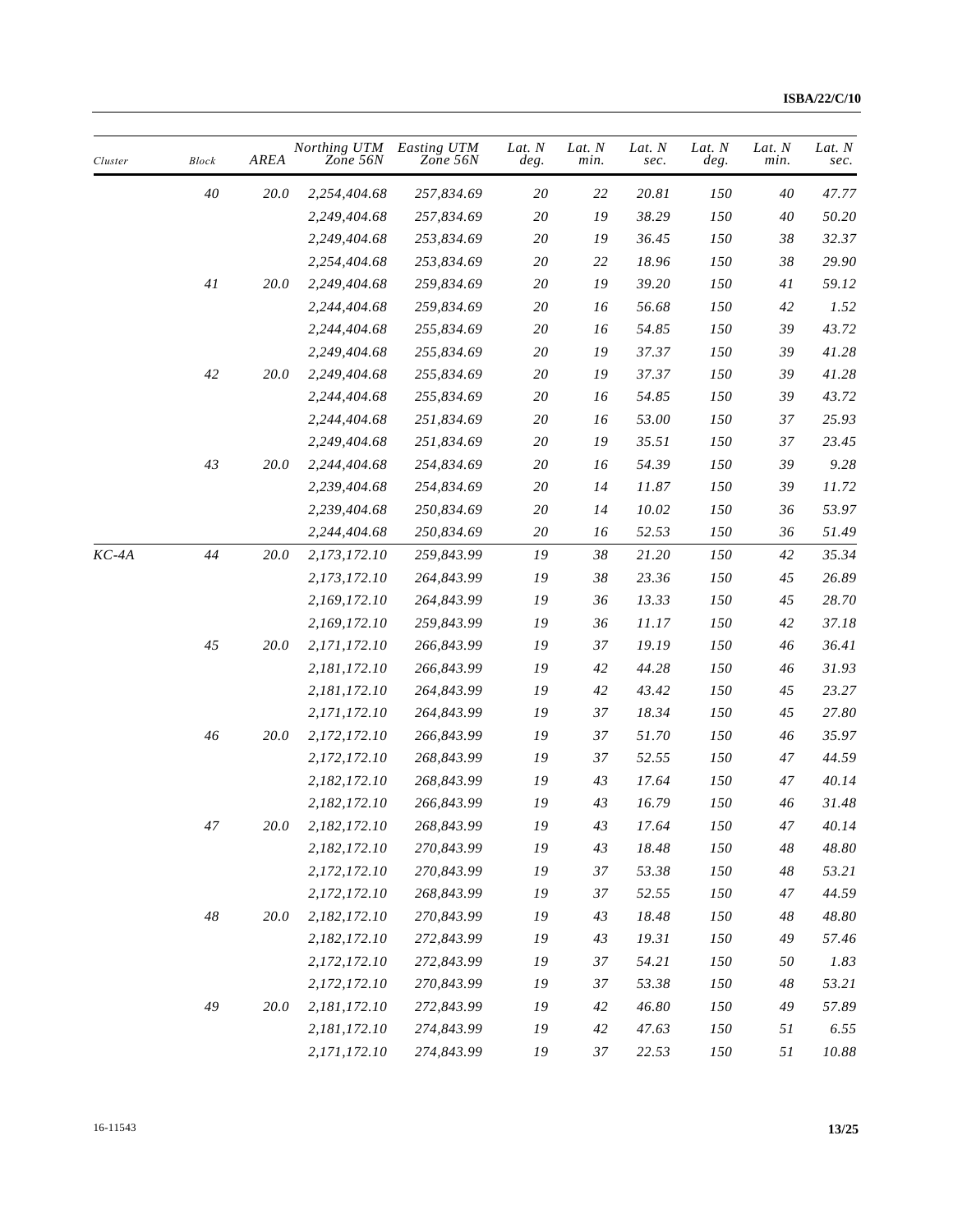| Cluster | <b>Block</b> | <b>AREA</b> | Northing UTM<br>Zone 56N | Easting UTM<br>Zone 56N | Lat. $N$<br>deg. | Lat. N<br>min. | Lat. N<br>sec. | Lat. N<br>deg. | Lat. N<br>min. | Lat. N<br>sec. |
|---------|--------------|-------------|--------------------------|-------------------------|------------------|----------------|----------------|----------------|----------------|----------------|
|         | 40           | 20.0        | 2,254,404.68             | 257,834.69              | 20               | 22             | 20.81          | 150            | 40             | 47.77          |
|         |              |             | 2,249,404.68             | 257,834.69              | $20\,$           | 19             | 38.29          | 150            | 40             | 50.20          |
|         |              |             | 2,249,404.68             | 253,834.69              | $20\,$           | 19             | 36.45          | 150            | $38\,$         | 32.37          |
|         |              |             | 2,254,404.68             | 253,834.69              | 20               | 22             | 18.96          | 150            | 38             | 29.90          |
|         | 41           | 20.0        | 2,249,404.68             | 259,834.69              | $20\,$           | 19             | 39.20          | 150            | 41             | 59.12          |
|         |              |             | 2,244,404.68             | 259,834.69              | 20               | 16             | 56.68          | 150            | $42\,$         | 1.52           |
|         |              |             | 2,244,404.68             | 255,834.69              | $20\,$           | 16             | 54.85          | 150            | 39             | 43.72          |
|         |              |             | 2,249,404.68             | 255,834.69              | $20\,$           | 19             | 37.37          | 150            | 39             | 41.28          |
|         | $42\,$       | 20.0        | 2,249,404.68             | 255,834.69              | 20               | 19             | 37.37          | 150            | 39             | 41.28          |
|         |              |             | 2,244,404.68             | 255,834.69              | $2\mathit{0}$    | 16             | 54.85          | 150            | 39             | 43.72          |
|         |              |             | 2,244,404.68             | 251,834.69              | 20               | 16             | 53.00          | 150            | 37             | 25.93          |
|         |              |             | 2,249,404.68             | 251,834.69              | $2\mathit{0}$    | 19             | 35.51          | 150            | 37             | 23.45          |
|         | 43           | 20.0        | 2,244,404.68             | 254,834.69              | $2\mathit{0}$    | 16             | 54.39          | 150            | 39             | 9.28           |
|         |              |             | 2,239,404.68             | 254,834.69              | 20               | 14             | 11.87          | 150            | 39             | 11.72          |
|         |              |             | 2,239,404.68             | 250,834.69              | $20\,$           | 14             | 10.02          | 150            | 36             | 53.97          |
|         |              |             | 2,244,404.68             | 250,834.69              | 20               | 16             | 52.53          | 150            | 36             | 51.49          |
| $KC-4A$ | 44           | 20.0        | 2,173,172.10             | 259,843.99              | 19               | 38             | 21.20          | 150            | $42\,$         | 35.34          |
|         |              |             | 2,173,172.10             | 264,843.99              | 19               | 38             | 23.36          | 150            | 45             | 26.89          |
|         |              |             | 2,169,172.10             | 264,843.99              | 19               | 36             | 13.33          | 150            | 45             | 28.70          |
|         |              |             | 2,169,172.10             | 259,843.99              | 19               | 36             | 11.17          | 150            | $42\,$         | 37.18          |
|         | 45           | 20.0        | 2,171,172.10             | 266,843.99              | 19               | 37             | 19.19          | 150            | $46\,$         | 36.41          |
|         |              |             | 2,181,172.10             | 266,843.99              | 19               | 42             | 44.28          | 150            | 46             | 31.93          |
|         |              |             | 2,181,172.10             | 264,843.99              | 19               | $42\,$         | 43.42          | 150            | 45             | 23.27          |
|         |              |             | 2,171,172.10             | 264,843.99              | 19               | 37             | 18.34          | 150            | 45             | 27.80          |
|         | 46           | 20.0        | 2,172,172.10             | 266,843.99              | 19               | 37             | 51.70          | 150            | 46             | 35.97          |
|         |              |             | 2,172,172.10             | 268,843.99              | 19               | 37             | 52.55          | 150            | 47             | 44.59          |
|         |              |             | 2,182,172.10             | 268,843.99              | 19               | 43             | 17.64          | 150            | 47             | 40.14          |
|         |              |             | 2,182,172.10             | 266,843.99              | 19               | 43             | 16.79          | 150            | 46             | 31.48          |
|         | $47\,$       | $20.0\,$    | 2,182,172.10             | 268,843.99              | ${\it I9}$       | 43             | 17.64          | $\it 150$      | 47             | 40.14          |
|         |              |             | 2,182,172.10             | 270,843.99              | ${\it 19}$       | 43             | 18.48          | 150            | $48\,$         | $48.80\,$      |
|         |              |             | 2,172,172.10             | 270,843.99              | 19               | 37             | 53.38          | 150            | 48             | 53.21          |
|         |              |             | 2,172,172.10             | 268,843.99              | 19               | 37             | 52.55          | 150            | 47             | 44.59          |
|         | $48\,$       | 20.0        | 2,182,172.10             | 270,843.99              | 19               | 43             | 18.48          | $\it 150$      | 48             | 48.80          |
|         |              |             | 2,182,172.10             | 272,843.99              | 19               | 43             | 19.31          | 150            | 49             | 57.46          |
|         |              |             | 2,172,172.10             | 272,843.99              | 19               | 37             | 54.21          | 150            | 50             | 1.83           |
|         |              |             | 2,172,172.10             | 270,843.99              | 19               | 37             | 53.38          | 150            | 48             | 53.21          |
|         | 49           | 20.0        | 2,181,172.10             | 272,843.99              | 19               | 42             | 46.80          | 150            | 49             | 57.89          |
|         |              |             | 2,181,172.10             | 274,843.99              | 19               | 42             | 47.63          | 150            | 51             | 6.55           |
|         |              |             | 2,171,172.10             | 274,843.99              | 19               | $37\,$         | 22.53          | 150            | $5\,$          | $10.88\,$      |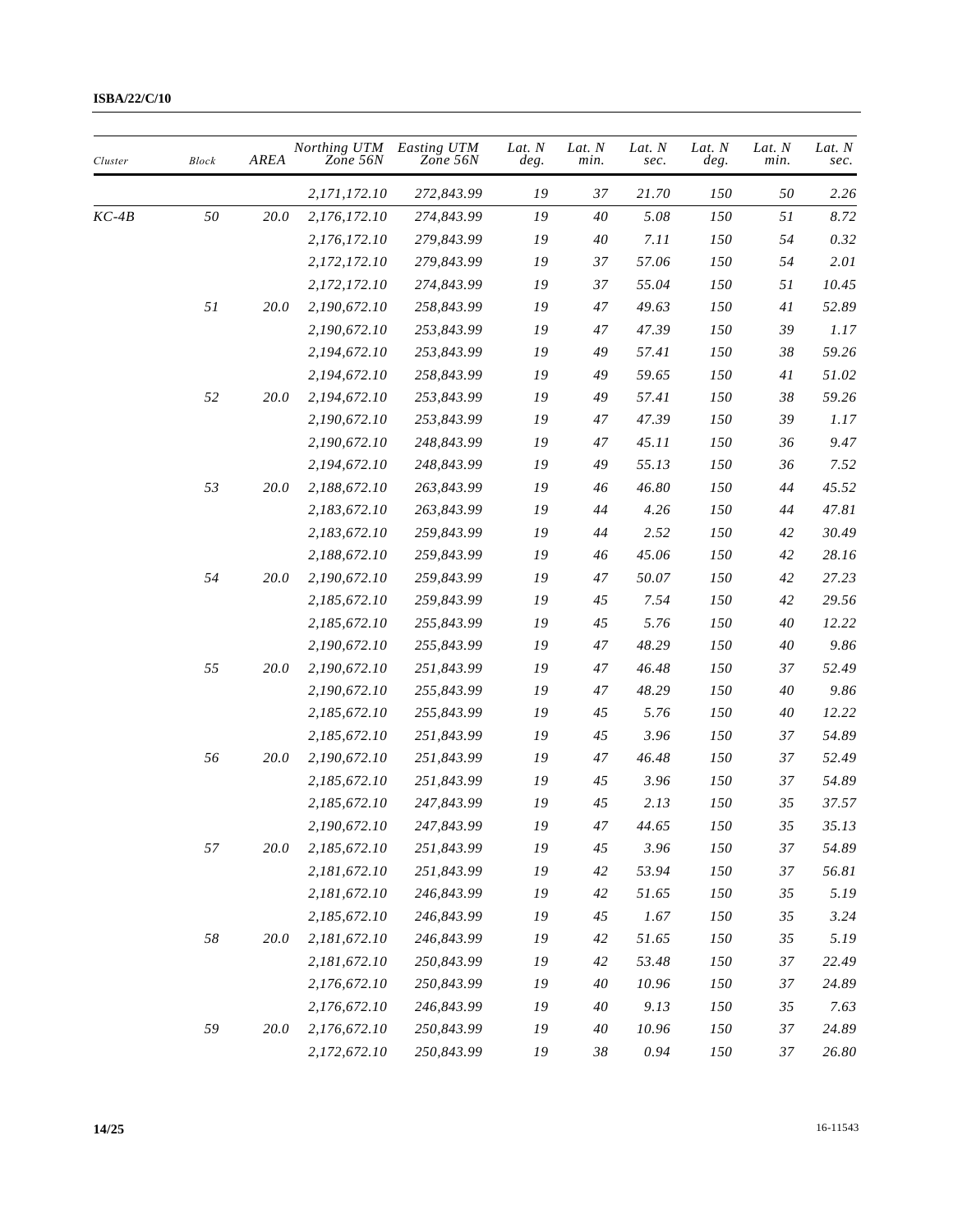| Cluster | <b>Block</b> | AREA     | Northing UTM<br>Zone 56N | Easting UTM<br>Zone 56N | Lat. N<br>deg. | Lat. N<br>min. | Lat. N<br>sec. | Lat. N<br>deg. | Lat. N<br>min. | Lat. N<br>sec. |
|---------|--------------|----------|--------------------------|-------------------------|----------------|----------------|----------------|----------------|----------------|----------------|
|         |              |          | 2,171,172.10             | 272,843.99              | 19             | 37             | 21.70          | 150            | 50             | 2.26           |
| KC-4B   | 50           | 20.0     | 2,176,172.10             | 274,843.99              | ${\it 19}$     | 40             | 5.08           | 150            | 51             | 8.72           |
|         |              |          | 2,176,172.10             | 279,843.99              | 19             | 40             | 7.11           | 150            | 54             | 0.32           |
|         |              |          | 2,172,172.10             | 279,843.99              | 19             | 37             | 57.06          | 150            | 54             | 2.01           |
|         |              |          | 2,172,172.10             | 274,843.99              | 19             | 37             | 55.04          | 150            | 51             | 10.45          |
|         | 51           | 20.0     | 2,190,672.10             | 258,843.99              | 19             | 47             | 49.63          | 150            | 41             | 52.89          |
|         |              |          | 2,190,672.10             | 253,843.99              | 19             | 47             | 47.39          | 150            | 39             | 1.17           |
|         |              |          | 2,194,672.10             | 253,843.99              | 19             | 49             | 57.41          | 150            | 38             | 59.26          |
|         |              |          | 2,194,672.10             | 258,843.99              | 19             | 49             | 59.65          | 150            | $4\,$          | 51.02          |
|         | 52           | 20.0     | 2,194,672.10             | 253,843.99              | 19             | 49             | 57.41          | 150            | 38             | 59.26          |
|         |              |          | 2,190,672.10             | 253,843.99              | 19             | 47             | 47.39          | 150            | 39             | 1.17           |
|         |              |          | 2,190,672.10             | 248,843.99              | 19             | 47             | 45.11          | 150            | 36             | 9.47           |
|         |              |          | 2,194,672.10             | 248,843.99              | 19             | 49             | 55.13          | 150            | 36             | 7.52           |
|         | 53           | 20.0     | 2,188,672.10             | 263,843.99              | 19             | 46             | 46.80          | 150            | 44             | 45.52          |
|         |              |          | 2,183,672.10             | 263,843.99              | 19             | 44             | 4.26           | 150            | 44             | 47.81          |
|         |              |          | 2,183,672.10             | 259,843.99              | 19             | 44             | 2.52           | 150            | $42\,$         | 30.49          |
|         |              |          | 2,188,672.10             | 259,843.99              | 19             | 46             | 45.06          | 150            | 42             | 28.16          |
|         | 54           | 20.0     | 2,190,672.10             | 259,843.99              | 19             | 47             | 50.07          | 150            | $42\,$         | 27.23          |
|         |              |          | 2,185,672.10             | 259,843.99              | 19             | 45             | 7.54           | 150            | $42\,$         | 29.56          |
|         |              |          | 2,185,672.10             | 255,843.99              | 19             | 45             | 5.76           | 150            | 40             | 12.22          |
|         |              |          | 2,190,672.10             | 255,843.99              | 19             | 47             | 48.29          | 150            | 40             | 9.86           |
|         | 55           | 20.0     | 2,190,672.10             | 251,843.99              | 19             | 47             | 46.48          | 150            | 37             | 52.49          |
|         |              |          | 2,190,672.10             | 255,843.99              | 19             | 47             | 48.29          | 150            | 40             | 9.86           |
|         |              |          | 2,185,672.10             | 255,843.99              | 19             | 45             | 5.76           | 150            | 40             | 12.22          |
|         |              |          | 2,185,672.10             | 251,843.99              | 19             | 45             | 3.96           | 150            | 37             | 54.89          |
|         | 56           | 20.0     | 2,190,672.10             | 251,843.99              | 19             | 47             | 46.48          | 150            | 37             | 52.49          |
|         |              |          | 2,185,672.10             | 251,843.99              | 19             | 45             | 3.96           | 150            | 37             | 54.89          |
|         |              |          | 2,185,672.10             | 247,843.99              | 19             | 45             | 2.13           | 150            | 35             | 37.57          |
|         |              |          | 2,190,672.10             | 247,843.99              | 19             | 47             | 44.65          | 150            | 35             | 35.13          |
|         | 57           | $20.0\,$ | 2,185,672.10             | 251,843.99              | ${\it 19}$     | 45             | 3.96           | 150            | 37             | 54.89          |
|         |              |          | 2,181,672.10             | 251,843.99              | 19             | 42             | 53.94          | 150            | 37             | 56.81          |
|         |              |          | 2,181,672.10             | 246,843.99              | ${\it 19}$     | 42             | 51.65          | 150            | 35             | 5.19           |
|         |              |          | 2,185,672.10             | 246,843.99              | 19             | 45             | 1.67           | 150            | 35             | 3.24           |
|         | $58\,$       | 20.0     | 2,181,672.10             | 246,843.99              | ${\it 19}$     | 42             | 51.65          | 150            | 35             | 5.19           |
|         |              |          | 2,181,672.10             | 250,843.99              | 19             | 42             | 53.48          | 150            | 37             | 22.49          |
|         |              |          | 2,176,672.10             | 250,843.99              | 19             | 40             | 10.96          | 150            | 37             | 24.89          |
|         |              |          | 2,176,672.10             | 246,843.99              | ${\it 19}$     | 40             | 9.13           | 150            | 35             | 7.63           |
|         | 59           | 20.0     | 2,176,672.10             | 250,843.99              | 19             | 40             | 10.96          | 150            | 37             | 24.89          |
|         |              |          | 2,172,672.10             | 250,843.99              | 19             | 38             | $0.94\,$       | $\it 150$      | 37             | $26.80\,$      |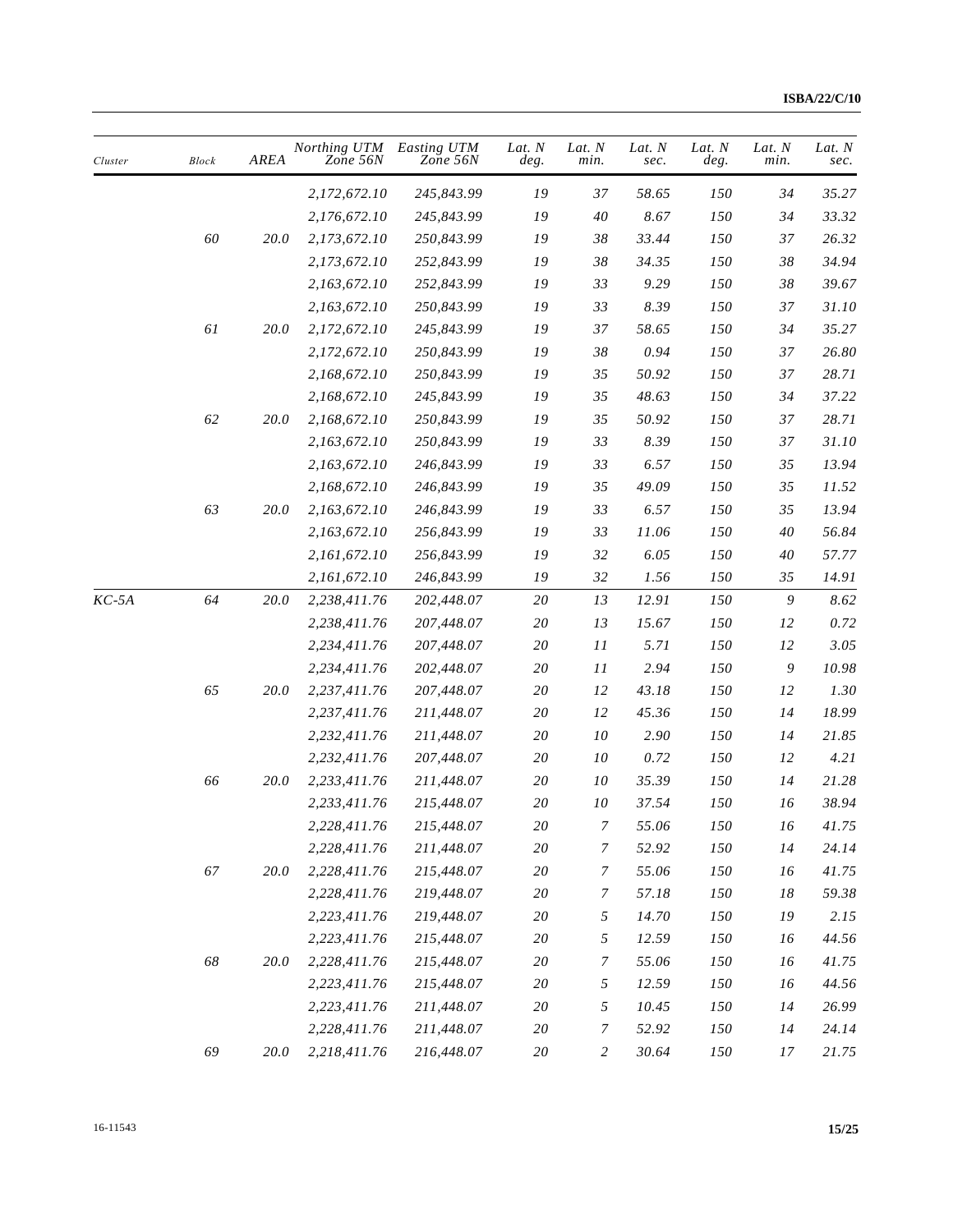| Cluster | <b>Block</b> | AREA     | Northing UTM<br>Zone 56N | Easting UTM<br>Zone 56N | Lat. N<br>deg. | Lat. N<br>min.   | Lat. N<br>sec. | Lat. N<br>deg. | Lat. N<br>min. | Lat. N<br>sec. |
|---------|--------------|----------|--------------------------|-------------------------|----------------|------------------|----------------|----------------|----------------|----------------|
|         |              |          | 2,172,672.10             | 245,843.99              | 19             | 37               | 58.65          | 150            | 34             | 35.27          |
|         |              |          | 2,176,672.10             | 245,843.99              | 19             | 40               | 8.67           | 150            | 34             | 33.32          |
|         | 60           | $20.0\,$ | 2,173,672.10             | 250,843.99              | 19             | 38               | 33.44          | 150            | 37             | 26.32          |
|         |              |          | 2,173,672.10             | 252,843.99              | 19             | 38               | 34.35          | 150            | 38             | 34.94          |
|         |              |          | 2,163,672.10             | 252,843.99              | ${\it 19}$     | 33               | 9.29           | 150            | 38             | 39.67          |
|         |              |          | 2,163,672.10             | 250,843.99              | 19             | 33               | 8.39           | 150            | 37             | 31.10          |
|         | 61           | 20.0     | 2,172,672.10             | 245,843.99              | ${\it 19}$     | 37               | 58.65          | 150            | 34             | 35.27          |
|         |              |          | 2,172,672.10             | 250,843.99              | ${\it 19}$     | 38               | 0.94           | 150            | 37             | 26.80          |
|         |              |          | 2,168,672.10             | 250,843.99              | 19             | 35               | 50.92          | 150            | 37             | 28.71          |
|         |              |          | 2,168,672.10             | 245,843.99              | ${\it 19}$     | 35               | 48.63          | 150            | 34             | 37.22          |
|         | 62           | 20.0     | 2,168,672.10             | 250,843.99              | 19             | 35               | 50.92          | 150            | 37             | 28.71          |
|         |              |          | 2,163,672.10             | 250,843.99              | 19             | 33               | 8.39           | 150            | 37             | 31.10          |
|         |              |          | 2,163,672.10             | 246,843.99              | 19             | 33               | 6.57           | 150            | 35             | 13.94          |
|         |              |          | 2,168,672.10             | 246,843.99              | 19             | 35               | 49.09          | 150            | 35             | 11.52          |
|         | 63           | $20.0\,$ | 2,163,672.10             | 246,843.99              | 19             | 33               | 6.57           | 150            | 35             | 13.94          |
|         |              |          | 2,163,672.10             | 256,843.99              | 19             | 33               | 11.06          | 150            | 40             | 56.84          |
|         |              |          | 2,161,672.10             | 256,843.99              | ${\it 19}$     | 32               | 6.05           | 150            | 40             | 57.77          |
|         |              |          | 2,161,672.10             | 246,843.99              | 19             | 32               | 1.56           | 150            | 35             | 14.91          |
| $KC-5A$ | 64           | 20.0     | 2,238,411.76             | 202,448.07              | 20             | 13               | 12.91          | 150            | 9              | 8.62           |
|         |              |          | 2,238,411.76             | 207,448.07              | 20             | 13               | 15.67          | 150            | 12             | 0.72           |
|         |              |          | 2,234,411.76             | 207,448.07              | 20             | 11               | 5.71           | 150            | 12             | 3.05           |
|         |              |          | 2,234,411.76             | 202,448.07              | 20             | 11               | 2.94           | 150            | 9              | 10.98          |
|         | 65           | 20.0     | 2,237,411.76             | 207,448.07              | 20             | 12               | 43.18          | 150            | 12             | 1.30           |
|         |              |          | 2,237,411.76             | 211,448.07              | 20             | 12               | 45.36          | 150            | 14             | 18.99          |
|         |              |          | 2,232,411.76             | 211,448.07              | 20             | 10               | 2.90           | 150            | 14             | 21.85          |
|         |              |          | 2,232,411.76             | 207,448.07              | $2\mathit{0}$  | 10               | 0.72           | 150            | 12             | 4.21           |
|         | 66           | 20.0     | 2,233,411.76             | 211,448.07              | 20             | 10               | 35.39          | 150            | 14             | 21.28          |
|         |              |          | 2,233,411.76             | 215,448.07              | 20             | 10               | 37.54          | 150            | 16             | 38.94          |
|         |              |          | 2,228,411.76             | 215,448.07              | $2\mathit{0}$  | $\boldsymbol{7}$ | 55.06          | $\it 150$      | 16             | 41.75          |
|         |              |          | 2,228,411.76             | 211,448.07              | $2\mathit{0}$  | 7                | 52.92          | 150            | 14             | 24.14          |
|         | 67           | 20.0     | 2,228,411.76             | 215,448.07              | $20\,$         | 7                | 55.06          | 150            | 16             | 41.75          |
|         |              |          | 2,228,411.76             | 219,448.07              | $20\,$         | 7                | 57.18          | 150            | 18             | 59.38          |
|         |              |          | 2,223,411.76             | 219,448.07              | 20             | 5                | 14.70          | 150            | 19             | 2.15           |
|         |              |          | 2,223,411.76             | 215,448.07              | $2\mathit{0}$  | 5                | 12.59          | 150            | 16             | 44.56          |
|         | $68\,$       | 20.0     | 2,228,411.76             | 215,448.07              | 20             | $\overline{7}$   | 55.06          | 150            | 16             | 41.75          |
|         |              |          | 2,223,411.76             | 215,448.07              | $20\,$         | 5                | 12.59          | 150            | 16             | 44.56          |
|         |              |          | 2,223,411.76             | 211,448.07              | 20             | 5                | 10.45          | 150            | 14             | 26.99          |
|         |              |          | 2,228,411.76             | 211,448.07              | $20\,$         | 7                | 52.92          | 150            | 14             | 24.14          |
|         | 69           | 20.0     | 2,218,411.76             | 216,448.07              | $20\,$         | $\overline{c}$   | 30.64          | 150            | 17             | 21.75          |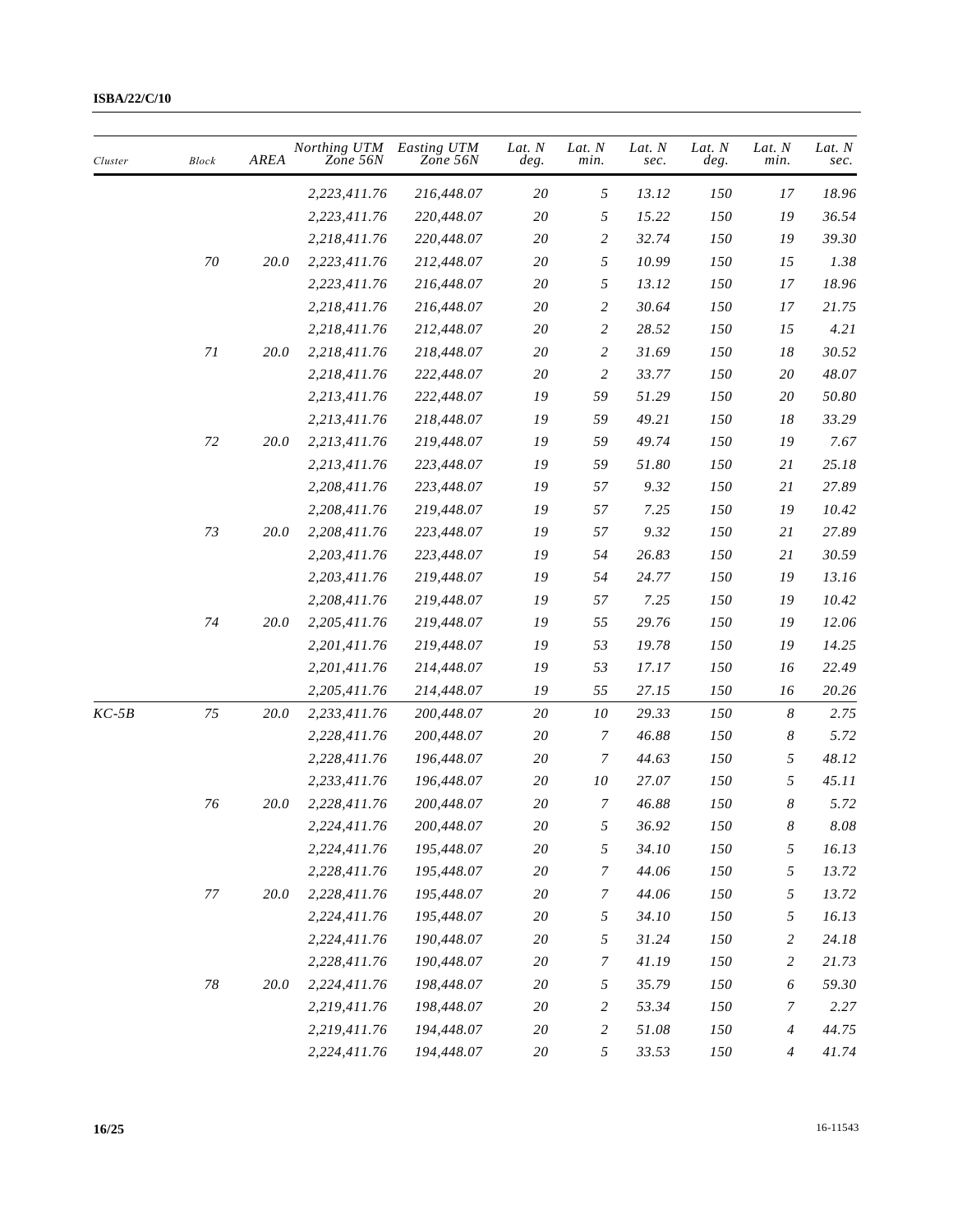| Cluster | <b>Block</b>    | <b>AREA</b> | Northing UTM<br>Zone 56N | Easting UTM<br>Zone 56N | Lat. $N$<br>deg. | Lat. N<br>min.   | Lat. N<br>sec. | Lat. N<br>deg. | Lat. N<br>min.   | Lat. N<br>sec. |
|---------|-----------------|-------------|--------------------------|-------------------------|------------------|------------------|----------------|----------------|------------------|----------------|
|         |                 |             | 2,223,411.76             | 216,448.07              | 20               | 5                | 13.12          | 150            | 17               | 18.96          |
|         |                 |             | 2,223,411.76             | 220,448.07              | 20               | 5                | 15.22          | 150            | 19               | 36.54          |
|         |                 |             | 2,218,411.76             | 220,448.07              | $20\,$           | $\sqrt{2}$       | 32.74          | 150            | 19               | 39.30          |
|         | $70\,$          | 20.0        | 2,223,411.76             | 212,448.07              | $20\,$           | 5                | 10.99          | 150            | 15               | 1.38           |
|         |                 |             | 2,223,411.76             | 216,448.07              | 20               | 5                | 13.12          | 150            | 17               | 18.96          |
|         |                 |             | 2,218,411.76             | 216,448.07              | 20               | $\overline{c}$   | 30.64          | 150            | 17               | 21.75          |
|         |                 |             | 2,218,411.76             | 212,448.07              | 20               | $\overline{c}$   | 28.52          | 150            | 15               | 4.21           |
|         | $7\mathfrak{l}$ | 20.0        | 2,218,411.76             | 218,448.07              | $20\,$           | $\overline{2}$   | 31.69          | 150            | $18\,$           | 30.52          |
|         |                 |             | 2,218,411.76             | 222,448.07              | 20               | $\overline{c}$   | 33.77          | 150            | 20               | 48.07          |
|         |                 |             | 2,213,411.76             | 222,448.07              | 19               | 59               | 51.29          | 150            | 20               | 50.80          |
|         |                 |             | 2,213,411.76             | 218,448.07              | 19               | 59               | 49.21          | 150            | 18               | 33.29          |
|         | 72              | 20.0        | 2,213,411.76             | 219,448.07              | 19               | 59               | 49.74          | 150            | 19               | 7.67           |
|         |                 |             | 2,213,411.76             | 223,448.07              | 19               | 59               | 51.80          | 150            | 21               | 25.18          |
|         |                 |             | 2,208,411.76             | 223,448.07              | 19               | 57               | 9.32           | 150            | 21               | 27.89          |
|         |                 |             | 2,208,411.76             | 219,448.07              | 19               | 57               | 7.25           | 150            | 19               | 10.42          |
|         | 73              | 20.0        | 2,208,411.76             | 223,448.07              | 19               | 57               | 9.32           | 150            | 21               | 27.89          |
|         |                 |             | 2,203,411.76             | 223,448.07              | 19               | 54               | 26.83          | 150            | 21               | 30.59          |
|         |                 |             | 2,203,411.76             | 219,448.07              | 19               | 54               | 24.77          | 150            | 19               | 13.16          |
|         |                 |             | 2,208,411.76             | 219,448.07              | 19               | 57               | 7.25           | 150            | 19               | 10.42          |
|         | 74              | 20.0        | 2,205,411.76             | 219,448.07              | 19               | 55               | 29.76          | 150            | 19               | 12.06          |
|         |                 |             | 2,201,411.76             | 219,448.07              | 19               | 53               | 19.78          | 150            | 19               | 14.25          |
|         |                 |             | 2,201,411.76             | 214,448.07              | 19               | 53               | 17.17          | 150            | 16               | 22.49          |
|         |                 |             | 2,205,411.76             | 214,448.07              | 19               | 55               | 27.15          | 150            | 16               | 20.26          |
| $KC-5B$ | 75              | 20.0        | 2,233,411.76             | 200,448.07              | 20               | 10               | 29.33          | 150            | 8                | 2.75           |
|         |                 |             | 2,228,411.76             | 200,448.07              | 20               | 7                | 46.88          | 150            | 8                | 5.72           |
|         |                 |             | 2,228,411.76             | 196,448.07              | $2\mathit{0}$    | $\overline{7}$   | 44.63          | 150            | 5                | 48.12          |
|         |                 |             | 2,233,411.76             | 196,448.07              | 20               | 10               | 27.07          | 150            | 5                | 45.11          |
|         | 76              | <i>20.0</i> | 2,228,411.76             | 200,448.07              | 20               | 7                | 46.88          | 150            | 8                | 5.72           |
|         |                 |             | 2,224,411.76             | 200,448.07              | $20\,$           | 5                | 36.92          | 150            | 8                | $8.08\,$       |
|         |                 |             | 2,224,411.76             | 195,448.07              | $20\,$           | $\sqrt{2}$       | 34.10          | $\it 150$      | 5                | 16.13          |
|         |                 |             | 2,228,411.76             | 195,448.07              | $20\,$           | 7                | 44.06          | 150            | 5                | 13.72          |
|         | $77\,$          | $20.0\,$    | 2,228,411.76             | 195,448.07              | $20\,$           | $\boldsymbol{7}$ | 44.06          | 150            | 5                | 13.72          |
|         |                 |             | 2,224,411.76             | 195,448.07              | 20               | 5                | 34.10          | 150            | 5                | 16.13          |
|         |                 |             | 2,224,411.76             | 190,448.07              | $20\,$           | $\sqrt{2}$       | 31.24          | 150            | $\overline{c}$   | 24.18          |
|         |                 |             | 2,228,411.76             | 190,448.07              | $20\,$           | 7                | 41.19          | 150            | $\overline{c}$   | 21.73          |
|         | $78\,$          | 20.0        | 2,224,411.76             | 198,448.07              | 20               | 5                | 35.79          | 150            | 6                | 59.30          |
|         |                 |             | 2,219,411.76             | 198,448.07              | $20\,$           | 2                | 53.34          | 150            | $\boldsymbol{7}$ | 2.27           |
|         |                 |             | 2,219,411.76             | 194,448.07              | $20\,$           | 2                | 51.08          | 150            | $\overline{4}$   | 44.75          |
|         |                 |             | 2,224,411.76             | 194,448.07              | $20\,$           | $\sqrt{2}$       | 33.53          | 150            | $\overline{4}$   | 41.74          |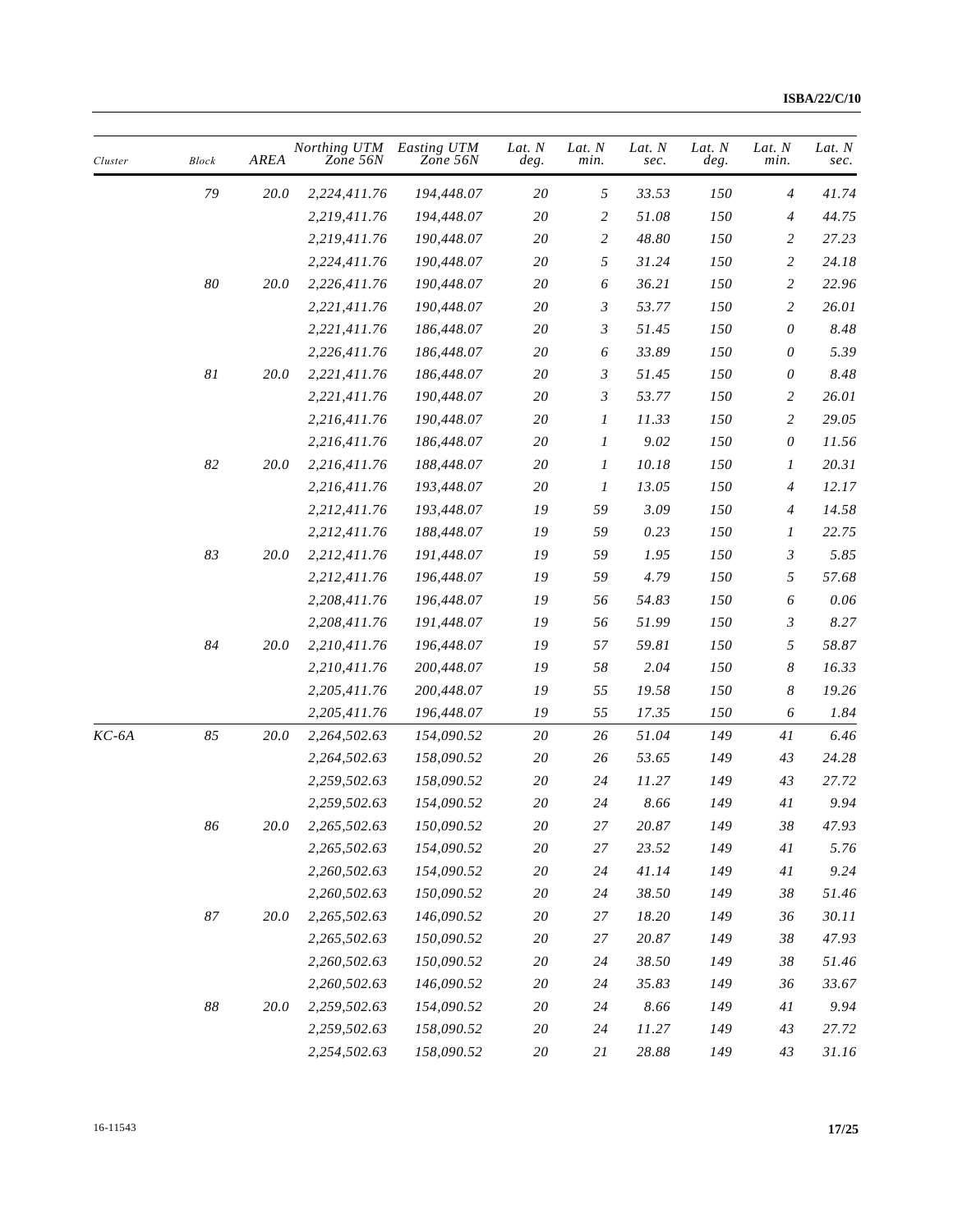| Cluster | <b>Block</b> | AREA        | Northing UTM<br>Zone 56N | Easting UTM<br>Zone 56N | Lat. N<br>deg. | Lat. N<br>min. | Lat. N<br>sec. | Lat. N<br>deg. | Lat. N<br>min.            | Lat. N<br>sec. |
|---------|--------------|-------------|--------------------------|-------------------------|----------------|----------------|----------------|----------------|---------------------------|----------------|
|         | 79           | 20.0        | 2,224,411.76             | 194,448.07              | 20             | $\sqrt{2}$     | 33.53          | 150            | $\overline{4}$            | 41.74          |
|         |              |             | 2,219,411.76             | 194,448.07              | $2\mathit{0}$  | 2              | 51.08          | 150            | 4                         | 44.75          |
|         |              |             | 2,219,411.76             | 190,448.07              | 20             | $\overline{c}$ | 48.80          | 150            | $\overline{c}$            | 27.23          |
|         |              |             | 2,224,411.76             | 190,448.07              | 20             | 5              | 31.24          | 150            | $\overline{c}$            | 24.18          |
|         | $\it 80$     | 20.0        | 2,226,411.76             | 190,448.07              | $2\mathit{0}$  | 6              | 36.21          | 150            | $\overline{c}$            | 22.96          |
|         |              |             | 2,221,411.76             | 190,448.07              | 20             | 3              | 53.77          | 150            | $\overline{c}$            | 26.01          |
|         |              |             | 2,221,411.76             | 186,448.07              | $2\mathit{0}$  | 3              | 51.45          | 150            | 0                         | 8.48           |
|         |              |             | 2,226,411.76             | 186,448.07              | $2\mathit{0}$  | 6              | 33.89          | 150            | 0                         | 5.39           |
|         | $\sqrt{8}I$  | <i>20.0</i> | 2,221,411.76             | 186,448.07              | 20             | 3              | 51.45          | 150            | 0                         | 8.48           |
|         |              |             | 2,221,411.76             | 190,448.07              | $2\mathit{0}$  | 3              | 53.77          | 150            | $\overline{c}$            | 26.01          |
|         |              |             | 2,216,411.76             | 190,448.07              | 20             | 1              | 11.33          | 150            | $\overline{c}$            | 29.05          |
|         |              |             | 2,216,411.76             | 186,448.07              | 20             | 1              | 9.02           | 150            | $\boldsymbol{\mathit{0}}$ | 11.56          |
|         | 82           | 20.0        | 2,216,411.76             | 188,448.07              | $2\mathit{0}$  | 1              | 10.18          | 150            | $\boldsymbol{I}$          | 20.31          |
|         |              |             | 2,216,411.76             | 193,448.07              | 20             | 1              | 13.05          | 150            | 4                         | 12.17          |
|         |              |             | 2,212,411.76             | 193,448.07              | 19             | 59             | 3.09           | 150            | $\overline{4}$            | 14.58          |
|         |              |             | 2,212,411.76             | 188,448.07              | ${\it 19}$     | 59             | 0.23           | 150            | $\boldsymbol{l}$          | 22.75          |
|         | 83           | 20.0        | 2,212,411.76             | 191,448.07              | ${\it 19}$     | 59             | 1.95           | 150            | 3                         | 5.85           |
|         |              |             | 2,212,411.76             | 196,448.07              | 19             | 59             | 4.79           | 150            | 5                         | 57.68          |
|         |              |             | 2,208,411.76             | 196,448.07              | 19             | 56             | 54.83          | 150            | 6                         | 0.06           |
|         |              |             | 2,208,411.76             | 191,448.07              | 19             | 56             | 51.99          | 150            | $\mathfrak{Z}$            | 8.27           |
|         | 84           | 20.0        | 2,210,411.76             | 196,448.07              | ${\it 19}$     | 57             | 59.81          | 150            | 5                         | 58.87          |
|         |              |             | 2,210,411.76             | 200,448.07              | ${\it 19}$     | 58             | 2.04           | 150            | $\boldsymbol{8}$          | 16.33          |
|         |              |             | 2,205,411.76             | 200,448.07              | 19             | 55             | 19.58          | 150            | $\boldsymbol{8}$          | 19.26          |
|         |              |             | 2,205,411.76             | 196,448.07              | 19             | 55             | 17.35          | 150            | 6                         | 1.84           |
| $KC-6A$ | 85           | 20.0        | 2,264,502.63             | 154,090.52              | $2\mathit{0}$  | $26\,$         | 51.04          | 149            | $4\,$                     | 6.46           |
|         |              |             | 2,264,502.63             | 158,090.52              | $2\mathit{0}$  | 26             | 53.65          | 149            | 43                        | 24.28          |
|         |              |             | 2,259,502.63             | 158,090.52              | 20             | 24             | 11.27          | 149            | 43                        | 27.72          |
|         |              |             | 2,259,502.63             | 154,090.52              | 20             | 24             | 8.66           | 149            | 41                        | 9.94           |
|         | 86           | 20.0        | 2,265,502.63             | 150,090.52              | $20\,$         | 27             | 20.87          | 149            | $38\,$                    | 47.93          |
|         |              |             | 2,265,502.63             | 154,090.52              | $20\,$         | 27             | 23.52          | 149            | $4 \\ l$                  | 5.76           |
|         |              |             | 2,260,502.63             | 154,090.52              | 20             | 24             | 41.14          | 149            | 41                        | 9.24           |
|         |              |             | 2,260,502.63             | 150,090.52              | 20             | 24             | 38.50          | 149            | 38                        | 51.46          |
|         | $\rm 87$     | 20.0        | 2,265,502.63             | 146,090.52              | 20             | 27             | 18.20          | 149            | 36                        | 30.11          |
|         |              |             | 2,265,502.63             | 150,090.52              | $2\mathit{0}$  | 27             | $20.87\,$      | 149            | 38                        | 47.93          |
|         |              |             | 2,260,502.63             | 150,090.52              | 20             | 24             | 38.50          | 149            | 38                        | 51.46          |
|         |              |             | 2,260,502.63             | 146,090.52              | 20             | 24             | 35.83          | 149            | 36                        | 33.67          |
|         | $88\,$       | 20.0        | 2,259,502.63             | 154,090.52              | 20             | 24             | 8.66           | 149            | $4\,$ $\,$                | 9.94           |
|         |              |             | 2,259,502.63             | 158,090.52              | 20             | 24             | 11.27          | 149            | 43                        | 27.72          |
|         |              |             | 2,254,502.63             | 158,090.52              | $20\,$         | 21             | $28.88\,$      | 149            | 43                        | 31.16          |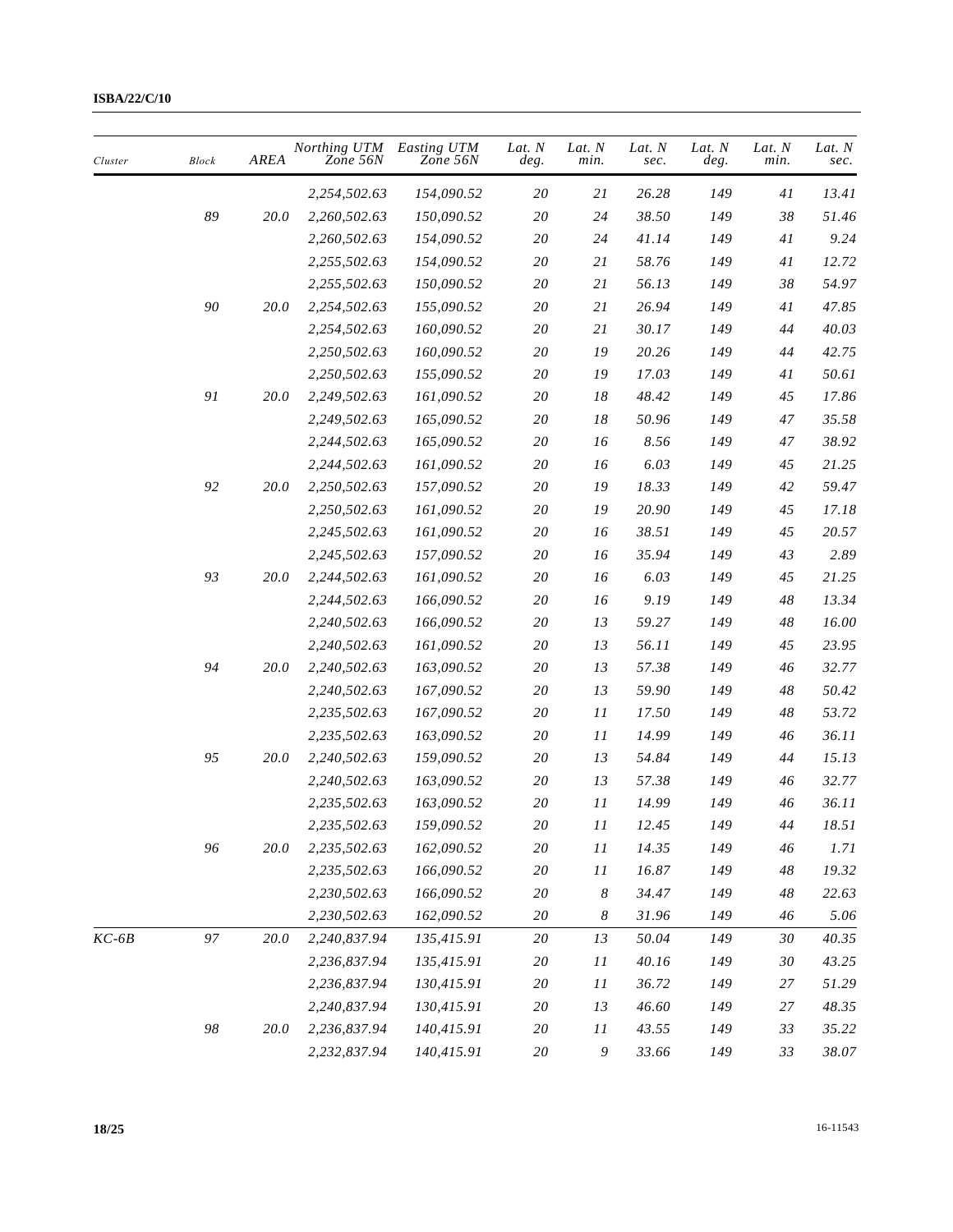| Cluster | <b>Block</b> | AREA        | Northing UTM<br>Zone 56N | Easting UTM<br>Zone 56N | Lat. N<br>deg. | Lat. N<br>min.   | Lat. N<br>sec. | Lat. N<br>deg. | Lat. N<br>min. | Lat. N<br>sec. |
|---------|--------------|-------------|--------------------------|-------------------------|----------------|------------------|----------------|----------------|----------------|----------------|
|         |              |             | 2,254,502.63             | 154,090.52              | 20             | 21               | 26.28          | 149            | 41             | 13.41          |
|         | 89           | 20.0        | 2,260,502.63             | 150,090.52              | $2\mathit{0}$  | 24               | 38.50          | 149            | $38\,$         | 51.46          |
|         |              |             | 2,260,502.63             | 154,090.52              | $2\mathit{0}$  | 24               | 41.14          | 149            | 41             | 9.24           |
|         |              |             | 2,255,502.63             | 154,090.52              | 20             | 21               | 58.76          | 149            | $4\,$ $\,$     | 12.72          |
|         |              |             | 2,255,502.63             | 150,090.52              | 20             | 21               | 56.13          | 149            | 38             | 54.97          |
|         | 90           | 20.0        | 2,254,502.63             | 155,090.52              | 20             | 21               | 26.94          | 149            | 41             | 47.85          |
|         |              |             | 2,254,502.63             | 160,090.52              | 20             | 21               | 30.17          | 149            | $44\,$         | 40.03          |
|         |              |             | 2,250,502.63             | 160,090.52              | $2\mathit{0}$  | 19               | 20.26          | 149            | 44             | 42.75          |
|         |              |             | 2,250,502.63             | 155,090.52              | 20             | 19               | 17.03          | 149            | 41             | 50.61          |
|         | 91           | 20.0        | 2,249,502.63             | 161,090.52              | 20             | 18               | 48.42          | 149            | 45             | 17.86          |
|         |              |             | 2,249,502.63             | 165,090.52              | $2\mathit{0}$  | 18               | 50.96          | 149            | 47             | 35.58          |
|         |              |             | 2,244,502.63             | 165,090.52              | $2\mathit{0}$  | 16               | 8.56           | 149            | 47             | 38.92          |
|         |              |             | 2,244,502.63             | 161,090.52              | $2\mathit{0}$  | 16               | 6.03           | 149            | 45             | 21.25          |
|         | 92           | <i>20.0</i> | 2,250,502.63             | 157,090.52              | 20             | 19               | 18.33          | 149            | 42             | 59.47          |
|         |              |             | 2,250,502.63             | 161,090.52              | 20             | 19               | 20.90          | 149            | 45             | 17.18          |
|         |              |             | 2,245,502.63             | 161,090.52              | 20             | 16               | 38.51          | 149            | 45             | 20.57          |
|         |              |             | 2,245,502.63             | 157,090.52              | 20             | 16               | 35.94          | 149            | 43             | 2.89           |
|         | 93           | 20.0        | 2,244,502.63             | 161,090.52              | $2\mathit{0}$  | 16               | 6.03           | 149            | 45             | 21.25          |
|         |              |             | 2,244,502.63             | 166,090.52              | 20             | 16               | 9.19           | 149            | $48\,$         | 13.34          |
|         |              |             | 2,240,502.63             | 166,090.52              | 20             | 13               | 59.27          | 149            | 48             | 16.00          |
|         |              |             | 2,240,502.63             | 161,090.52              | $2\mathit{0}$  | 13               | 56.11          | 149            | 45             | 23.95          |
|         | 94           | 20.0        | 2,240,502.63             | 163,090.52              | 20             | 13               | 57.38          | 149            | 46             | 32.77          |
|         |              |             | 2,240,502.63             | 167,090.52              | 20             | 13               | 59.90          | 149            | 48             | 50.42          |
|         |              |             | 2,235,502.63             | 167,090.52              | 20             | 11               | 17.50          | 149            | 48             | 53.72          |
|         |              |             | 2,235,502.63             | 163,090.52              | 20             | 11               | 14.99          | 149            | 46             | 36.11          |
|         | 95           | 20.0        | 2,240,502.63             | 159,090.52              | 20             | 13               | 54.84          | 149            | 44             | 15.13          |
|         |              |             | 2,240,502.63             | 163,090.52              | $2\mathit{0}$  | 13               | 57.38          | 149            | 46             | 32.77          |
|         |              |             | 2,235,502.63             | 163,090.52              | 20             | $\cal{I}$        | 14.99          | 149            | 46             | 36.11          |
|         |              |             | 2,235,502.63             | 159,090.52              | 20             | 11               | 12.45          | 149            | 44             | 18.51          |
|         | 96           | 20.0        | 2,235,502.63             | 162,090.52              | $2\mathit{0}$  | 11               | 14.35          | 149            | 46             | 1.71           |
|         |              |             | 2,235,502.63             | 166,090.52              | $20\,$         | 11               | 16.87          | 149            | 48             | 19.32          |
|         |              |             | 2,230,502.63             | 166,090.52              | $2\mathit{0}$  | $\boldsymbol{8}$ | 34.47          | 149            | 48             | 22.63          |
|         |              |             | 2,230,502.63             | 162,090.52              | $20\,$         | $\boldsymbol{8}$ | 31.96          | 149            | 46             | 5.06           |
| $KC-6B$ | 97           | 20.0        | 2,240,837.94             | 135,415.91              | $2\mathit{0}$  | 13               | 50.04          | 149            | 30             | 40.35          |
|         |              |             | 2,236,837.94             | 135,415.91              | 20             | 11               | 40.16          | 149            | 30             | 43.25          |
|         |              |             | 2,236,837.94             | 130,415.91              | 20             | 11               | 36.72          | 149            | 27             | 51.29          |
|         |              |             | 2,240,837.94             | 130,415.91              | $2\mathit{0}$  | 13               | 46.60          | 149            | 27             | 48.35          |
|         | $98\,$       | 20.0        | 2,236,837.94             | 140,415.91              | 20             | 11               | 43.55          | 149            | 33             | 35.22          |
|         |              |             | 2,232,837.94             | 140,415.91              | $20\,$         | $\boldsymbol{9}$ | 33.66          | 149            | 33             | 38.07          |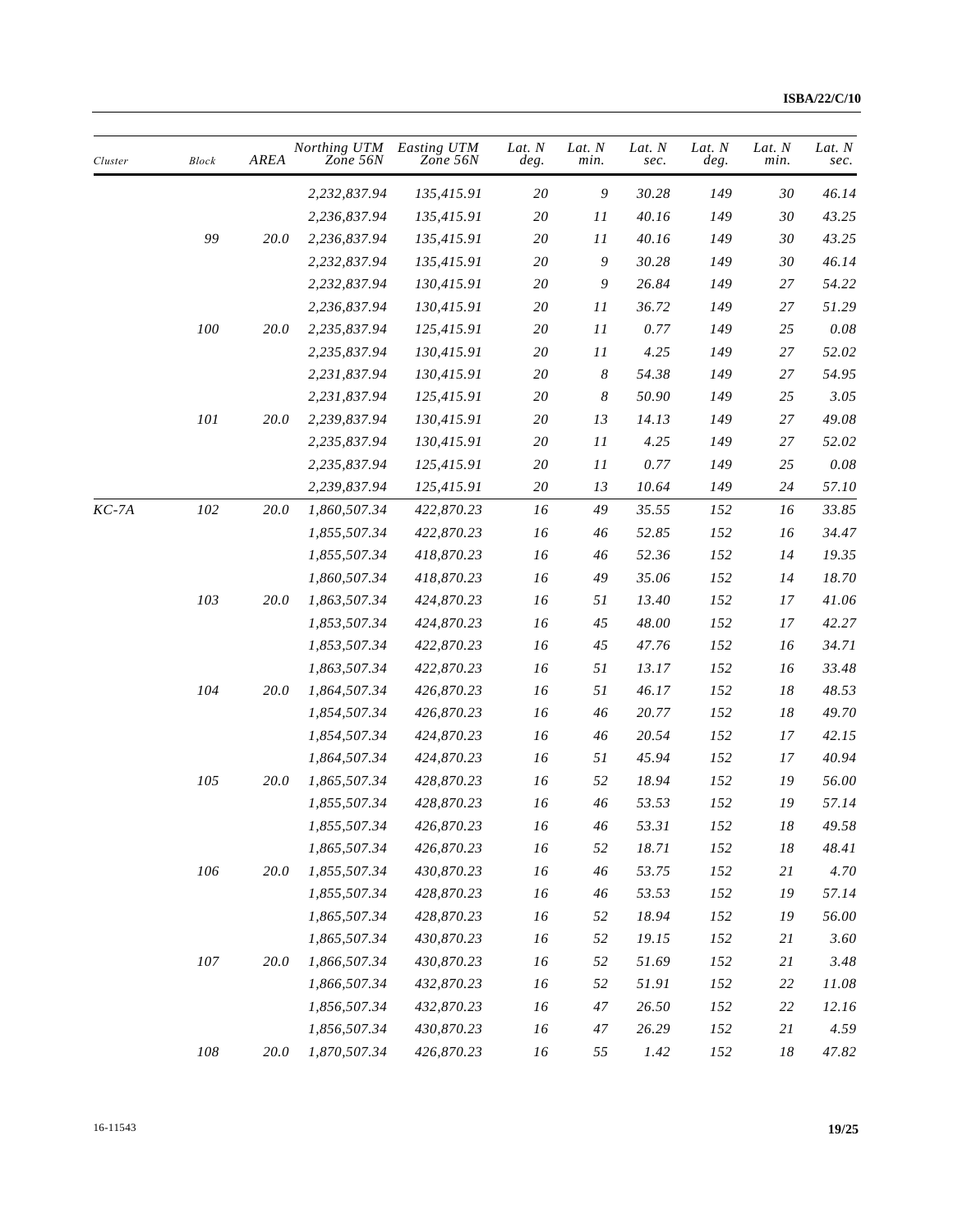| Cluster | <b>Block</b> | AREA     | Northing UTM<br>Zone 56N | Easting UTM<br>Zone 56N | Lat. $N$<br>deg. | Lat. N<br>min.   | Lat. N<br>sec. | Lat. N<br>deg. | Lat. N<br>min. | Lat. $N$<br>sec. |
|---------|--------------|----------|--------------------------|-------------------------|------------------|------------------|----------------|----------------|----------------|------------------|
|         |              |          | 2,232,837.94             | 135,415.91              | 20               | 9                | 30.28          | 149            | 30             | 46.14            |
|         |              |          | 2,236,837.94             | 135,415.91              | 20               | 11               | 40.16          | 149            | 30             | 43.25            |
|         | 99           | 20.0     | 2,236,837.94             | 135,415.91              | $2\mathit{0}$    | 11               | 40.16          | 149            | 30             | 43.25            |
|         |              |          | 2,232,837.94             | 135,415.91              | 20               | 9                | 30.28          | 149            | 30             | 46.14            |
|         |              |          | 2,232,837.94             | 130,415.91              | $2\mathit{0}$    | 9                | 26.84          | 149            | 27             | 54.22            |
|         |              |          | 2,236,837.94             | 130,415.91              | $2\mathit{0}$    | $\cal II$        | 36.72          | 149            | 27             | 51.29            |
|         | 100          | 20.0     | 2,235,837.94             | 125,415.91              | 20               | 11               | 0.77           | 149            | 25             | $0.08\,$         |
|         |              |          | 2,235,837.94             | 130,415.91              | 20               | 11               | 4.25           | 149            | 27             | 52.02            |
|         |              |          | 2,231,837.94             | 130,415.91              | 20               | $\boldsymbol{8}$ | 54.38          | 149            | 27             | 54.95            |
|         |              |          | 2,231,837.94             | 125,415.91              | $2\mathit{0}$    | $\boldsymbol{8}$ | 50.90          | 149            | 25             | 3.05             |
|         | 101          | 20.0     | 2,239,837.94             | 130,415.91              | 20               | 13               | 14.13          | 149            | 27             | 49.08            |
|         |              |          | 2,235,837.94             | 130,415.91              | $2\mathit{0}$    | 11               | 4.25           | 149            | 27             | 52.02            |
|         |              |          | 2,235,837.94             | 125,415.91              | $2\mathit{0}$    | 11               | 0.77           | 149            | 25             | $0.08\,$         |
|         |              |          | 2,239,837.94             | 125,415.91              | 20               | 13               | 10.64          | 149            | 24             | 57.10            |
| $KC-7A$ | 102          | 20.0     | 1,860,507.34             | 422,870.23              | 16               | 49               | 35.55          | 152            | 16             | 33.85            |
|         |              |          | 1,855,507.34             | 422,870.23              | 16               | 46               | 52.85          | 152            | 16             | 34.47            |
|         |              |          | 1,855,507.34             | 418,870.23              | 16               | 46               | 52.36          | 152            | 14             | 19.35            |
|         |              |          | 1,860,507.34             | 418,870.23              | 16               | 49               | 35.06          | 152            | 14             | 18.70            |
|         | 103          | 20.0     | 1,863,507.34             | 424,870.23              | 16               | 51               | 13.40          | 152            | 17             | 41.06            |
|         |              |          | 1,853,507.34             | 424,870.23              | 16               | 45               | 48.00          | 152            | 17             | 42.27            |
|         |              |          | 1,853,507.34             | 422,870.23              | 16               | 45               | 47.76          | 152            | 16             | 34.71            |
|         |              |          | 1,863,507.34             | 422,870.23              | 16               | 51               | 13.17          | 152            | 16             | 33.48            |
|         | 104          | 20.0     | 1,864,507.34             | 426,870.23              | 16               | 51               | 46.17          | 152            | 18             | 48.53            |
|         |              |          | 1,854,507.34             | 426,870.23              | 16               | 46               | 20.77          | 152            | 18             | 49.70            |
|         |              |          | 1,854,507.34             | 424,870.23              | 16               | 46               | 20.54          | 152            | 17             | 42.15            |
|         |              |          | 1,864,507.34             | 424,870.23              | 16               | 51               | 45.94          | 152            | 17             | 40.94            |
|         | 105          | 20.0     | 1,865,507.34             | 428,870.23              | 16               | 52               | 18.94          | 152            | 19             | 56.00            |
|         |              |          | 1,855,507.34             | 428,870.23              | 16               | 46               | 53.53          | 152            | 19             | 57.14            |
|         |              |          | 1,855,507.34             | 426,870.23              | $16$             | 46               | 53.31          | $152\,$        | $18\,$         | 49.58            |
|         |              |          | 1,865,507.34             | 426,870.23              | 16               | 52               | 18.71          | $152\,$        | $18\,$         | 48.41            |
|         | 106          | 20.0     | 1,855,507.34             | 430,870.23              | 16               | 46               | 53.75          | 152            | 21             | 4.70             |
|         |              |          | 1,855,507.34             | 428,870.23              | 16               | 46               | 53.53          | $152\,$        | 19             | 57.14            |
|         |              |          | 1,865,507.34             | 428,870.23              | 16               | 52               | 18.94          | 152            | 19             | 56.00            |
|         |              |          | 1,865,507.34             | 430,870.23              | 16               | 52               | 19.15          | 152            | 21             | 3.60             |
|         | $107\,$      | 20.0     | 1,866,507.34             | 430,870.23              | 16               | 52               | 51.69          | 152            | 21             | 3.48             |
|         |              |          | 1,866,507.34             | 432,870.23              | 16               | 52               | 51.91          | $152\,$        | 22             | 11.08            |
|         |              |          | 1,856,507.34             | 432,870.23              | $16$             | 47               | 26.50          | 152            | 22             | 12.16            |
|         |              |          | 1,856,507.34             | 430,870.23              | $16$             | 47               | 26.29          | 152            | 21             | 4.59             |
|         | ${\it 108}$  | $20.0\,$ | 1,870,507.34             | 426,870.23              | 16               | 55               | 1.42           | 152            | $18\,$         | 47.82            |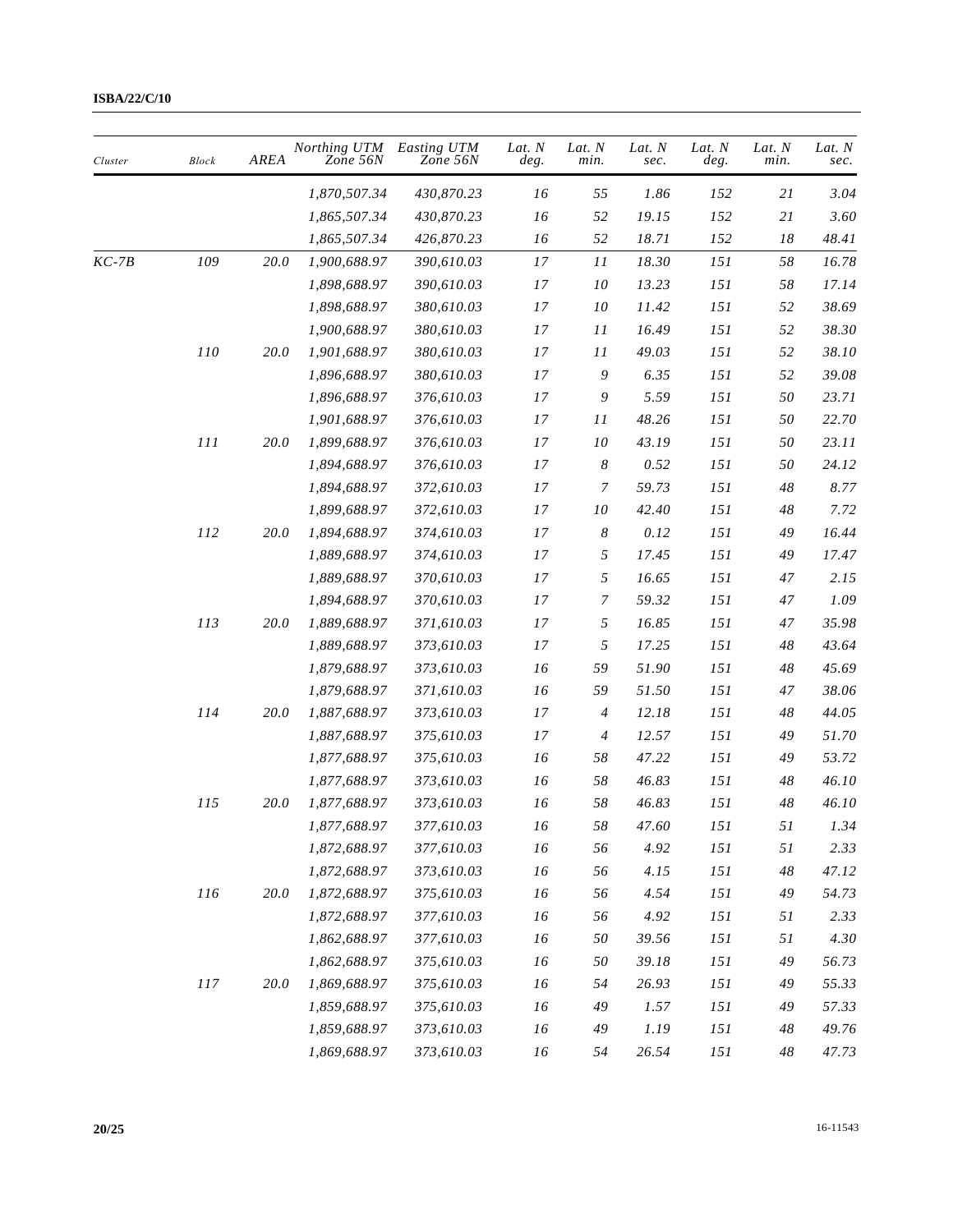| Cluster | <b>Block</b> | AREA        | Northing UTM<br>Zone 56N | Easting UTM<br>Zone 56N | Lat. N<br>deg. | Lat. N<br>min.   | Lat. N<br>sec. | Lat. N<br>deg. | Lat. N<br>min. | Lat. N<br>sec. |
|---------|--------------|-------------|--------------------------|-------------------------|----------------|------------------|----------------|----------------|----------------|----------------|
|         |              |             | 1,870,507.34             | 430,870.23              | 16             | 55               | 1.86           | 152            | 21             | 3.04           |
|         |              |             | 1,865,507.34             | 430,870.23              | 16             | 52               | 19.15          | 152            | 21             | 3.60           |
|         |              |             | 1,865,507.34             | 426,870.23              | 16             | 52               | 18.71          | 152            | 18             | 48.41          |
| KC-7B   | 109          | $20.0\,$    | 1,900,688.97             | 390,610.03              | 17             | 11               | 18.30          | 151            | 58             | 16.78          |
|         |              |             | 1,898,688.97             | 390,610.03              | $17\,$         | ${\it 10}$       | 13.23          | 151            | 58             | 17.14          |
|         |              |             | 1,898,688.97             | 380,610.03              | 17             | 10               | 11.42          | 151            | 52             | 38.69          |
|         |              |             | 1,900,688.97             | 380,610.03              | 17             | 11               | 16.49          | 151            | 52             | 38.30          |
|         | 110          | <i>20.0</i> | 1,901,688.97             | 380,610.03              | 17             | 11               | 49.03          | 151            | 52             | 38.10          |
|         |              |             | 1,896,688.97             | 380,610.03              | 17             | 9                | 6.35           | 151            | 52             | 39.08          |
|         |              |             | 1,896,688.97             | 376,610.03              | 17             | 9                | 5.59           | 151            | 50             | 23.71          |
|         |              |             | 1,901,688.97             | 376,610.03              | 17             | 11               | 48.26          | 151            | 50             | 22.70          |
|         | 111          | 20.0        | 1,899,688.97             | 376,610.03              | $17$           | 10               | 43.19          | 151            | 50             | 23.11          |
|         |              |             | 1,894,688.97             | 376,610.03              | 17             | $\boldsymbol{8}$ | 0.52           | 151            | 50             | 24.12          |
|         |              |             | 1,894,688.97             | 372,610.03              | 17             | $\overline{7}$   | 59.73          | 151            | 48             | 8.77           |
|         |              |             | 1,899,688.97             | 372,610.03              | 17             | 10               | 42.40          | 151            | 48             | 7.72           |
|         | 112          | 20.0        | 1,894,688.97             | 374,610.03              | 17             | $\boldsymbol{8}$ | 0.12           | 151            | 49             | 16.44          |
|         |              |             | 1,889,688.97             | 374,610.03              | 17             | 5                | 17.45          | 151            | 49             | 17.47          |
|         |              |             | 1,889,688.97             | 370,610.03              | 17             | 5                | 16.65          | 151            | 47             | 2.15           |
|         |              |             | 1,894,688.97             | 370,610.03              | 17             | 7                | 59.32          | 151            | 47             | 1.09           |
|         | 113          | 20.0        | 1,889,688.97             | 371,610.03              | 17             | $\sqrt{2}$       | 16.85          | 151            | 47             | 35.98          |
|         |              |             | 1,889,688.97             | 373,610.03              | 17             | 5                | 17.25          | 151            | 48             | 43.64          |
|         |              |             | 1,879,688.97             | 373,610.03              | 16             | 59               | 51.90          | 151            | 48             | 45.69          |
|         |              |             | 1,879,688.97             | 371,610.03              | 16             | 59               | 51.50          | 151            | 47             | 38.06          |
|         | 114          | 20.0        | 1,887,688.97             | 373,610.03              | 17             | $\overline{4}$   | 12.18          | 151            | 48             | 44.05          |
|         |              |             | 1,887,688.97             | 375,610.03              | 17             | $\overline{4}$   | 12.57          | 151            | 49             | 51.70          |
|         |              |             | 1,877,688.97             | 375,610.03              | 16             | 58               | 47.22          | 151            | 49             | 53.72          |
|         |              |             | 1,877,688.97             | 373,610.03              | 16             | 58               | 46.83          | 151            | 48             | 46.10          |
|         | 115          | 20.0        | 1,877,688.97             | 373,610.03              | 16             | 58               | 46.83          | 151            | 48             | 46.10          |
|         |              |             | 1,877,688.97             | 377,610.03              | 16             | 58               | 47.60          | $151\,$        | 51             | 1.34           |
|         |              |             | 1,872,688.97             | 377,610.03              | 16             | 56               | 4.92           | 151            | 51             | 2.33           |
|         |              |             | 1,872,688.97             | 373,610.03              | 16             | 56               | 4.15           | 151            | 48             | 47.12          |
|         | 116          | 20.0        | 1,872,688.97             | 375,610.03              | 16             | 56               | 4.54           | 151            | 49             | 54.73          |
|         |              |             | 1,872,688.97             | 377,610.03              | 16             | 56               | 4.92           | 151            | 51             | 2.33           |
|         |              |             | 1,862,688.97             | 377,610.03              | 16             | 50               | 39.56          | 151            | 51             | 4.30           |
|         |              |             | 1,862,688.97             | 375,610.03              | 16             | 50               | 39.18          | 151            | 49             | 56.73          |
|         | $117$        | 20.0        | 1,869,688.97             | 375,610.03              | 16             | 54               | 26.93          | 151            | 49             | 55.33          |
|         |              |             | 1,859,688.97             | 375,610.03              | 16             | 49               | 1.57           | 151            | 49             | 57.33          |
|         |              |             | 1,859,688.97             | 373,610.03              | 16             | 49               | 1.19           | 151            | 48             | 49.76          |
|         |              |             | 1,869,688.97             | 373,610.03              | 16             | 54               | 26.54          | 151            | 48             | 47.73          |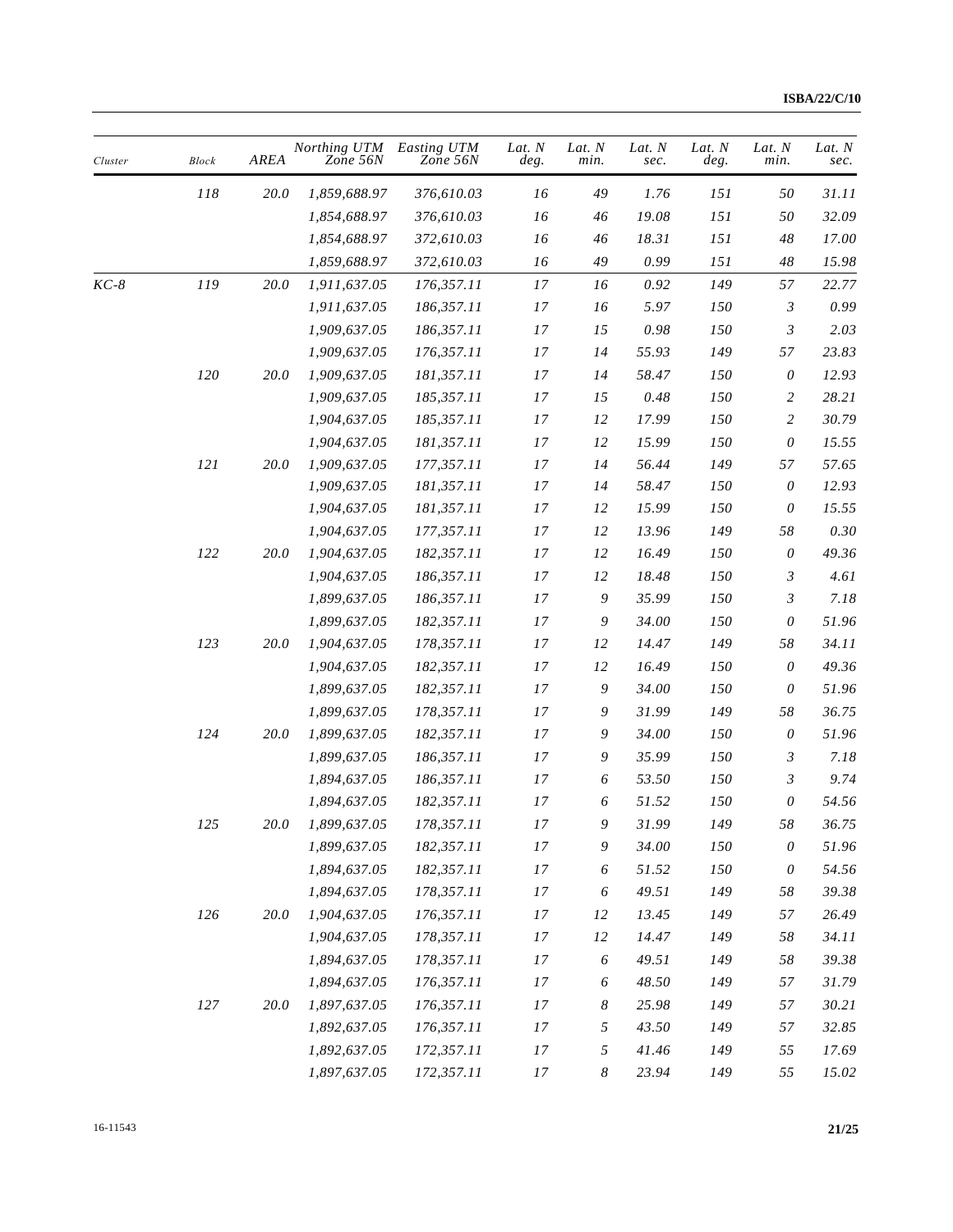| Cluster | <b>Block</b> | AREA        | Northing UTM<br>Zone 56N | Easting UTM<br>Zone 56N | Lat. $N$<br>deg. | Lat. $N$<br>min. | Lat. N<br>sec. | Lat. N<br>deg. | Lat. N<br>min.            | Lat. N<br>sec. |
|---------|--------------|-------------|--------------------------|-------------------------|------------------|------------------|----------------|----------------|---------------------------|----------------|
|         | 118          | 20.0        | 1,859,688.97             | 376,610.03              | 16               | 49               | 1.76           | 151            | 50                        | 31.11          |
|         |              |             | 1,854,688.97             | 376,610.03              | 16               | 46               | 19.08          | 151            | 50                        | 32.09          |
|         |              |             | 1,854,688.97             | 372,610.03              | 16               | 46               | $18.31\,$      | 151            | 48                        | 17.00          |
|         |              |             | 1,859,688.97             | 372,610.03              | 16               | 49               | 0.99           | 151            | 48                        | 15.98          |
| $KC-8$  | 119          | 20.0        | 1,911,637.05             | 176,357.11              | $17\,$           | 16               | $0.92\,$       | 149            | 57                        | 22.77          |
|         |              |             | 1,911,637.05             | 186,357.11              | 17               | 16               | 5.97           | 150            | 3                         | 0.99           |
|         |              |             | 1,909,637.05             | 186,357.11              | 17               | 15               | 0.98           | 150            | 3                         | 2.03           |
|         |              |             | 1,909,637.05             | 176,357.11              | 17               | 14               | 55.93          | 149            | 57                        | 23.83          |
|         | ${\it 120}$  | <i>20.0</i> | 1,909,637.05             | 181,357.11              | 17               | 14               | 58.47          | 150            | 0                         | 12.93          |
|         |              |             | 1,909,637.05             | 185,357.11              | 17               | 15               | 0.48           | 150            | 2                         | 28.21          |
|         |              |             | 1,904,637.05             | 185,357.11              | 17               | 12               | 17.99          | 150            | 2                         | 30.79          |
|         |              |             | 1,904,637.05             | 181,357.11              | $17\,$           | 12               | 15.99          | 150            | 0                         | 15.55          |
|         | 121          | <i>20.0</i> | 1,909,637.05             | 177,357.11              | 17               | 14               | 56.44          | 149            | 57                        | 57.65          |
|         |              |             | 1,909,637.05             | 181,357.11              | 17               | 14               | 58.47          | 150            | $\theta$                  | 12.93          |
|         |              |             | 1,904,637.05             | 181,357.11              | 17               | 12               | 15.99          | 150            | 0                         | 15.55          |
|         |              |             | 1,904,637.05             | 177,357.11              | 17               | 12               | 13.96          | 149            | 58                        | 0.30           |
|         | 122          | 20.0        | 1,904,637.05             | 182,357.11              | $17\,$           | 12               | 16.49          | 150            | $\theta$                  | 49.36          |
|         |              |             | 1,904,637.05             | 186,357.11              | 17               | 12               | 18.48          | 150            | 3                         | 4.61           |
|         |              |             | 1,899,637.05             | 186,357.11              | 17               | 9                | 35.99          | 150            | 3                         | 7.18           |
|         |              |             | 1,899,637.05             | 182,357.11              | 17               | 9                | 34.00          | 150            | $\theta$                  | 51.96          |
|         | 123          | 20.0        | 1,904,637.05             | 178,357.11              | 17               | 12               | 14.47          | 149            | 58                        | 34.11          |
|         |              |             | 1,904,637.05             | 182,357.11              | 17               | 12               | 16.49          | 150            | $\boldsymbol{\mathit{0}}$ | 49.36          |
|         |              |             | 1,899,637.05             | 182,357.11              | 17               | 9                | 34.00          | 150            | $\theta$                  | 51.96          |
|         |              |             | 1,899,637.05             | 178,357.11              | 17               | 9                | 31.99          | 149            | 58                        | 36.75          |
|         | 124          | 20.0        | 1,899,637.05             | 182,357.11              | 17               | 9                | 34.00          | 150            | $\boldsymbol{\mathit{0}}$ | 51.96          |
|         |              |             | 1,899,637.05             | 186,357.11              | 17               | 9                | 35.99          | 150            | 3                         | 7.18           |
|         |              |             | 1,894,637.05             | 186,357.11              | 17               | 6                | 53.50          | 150            | 3                         | 9.74           |
|         |              |             | 1,894,637.05             | 182,357.11              | 17               | 6                | 51.52          | 150            | 0                         | 54.56          |
|         | 125          | $20.0\,$    | 1,899,637.05             | 178,357.11              | 17               | 9                | 31.99          | 149            | 58                        | 36.75          |
|         |              |             | 1,899,637.05             | 182,357.11              | 17               | $\boldsymbol{9}$ | 34.00          | 150            | $\boldsymbol{\mathit{0}}$ | 51.96          |
|         |              |             | 1,894,637.05             | 182,357.11              | 17               | 6                | 51.52          | 150            | 0                         | 54.56          |
|         |              |             | 1,894,637.05             | 178,357.11              | $17\,$           | 6                | 49.51          | 149            | 58                        | 39.38          |
|         | 126          | 20.0        | 1,904,637.05             | 176,357.11              | 17               | 12               | 13.45          | 149            | 57                        | 26.49          |
|         |              |             | 1,904,637.05             | 178,357.11              | $17\,$           | 12               | 14.47          | 149            | 58                        | 34.11          |
|         |              |             | 1,894,637.05             | 178,357.11              | 17               | 6                | 49.51          | 149            | 58                        | 39.38          |
|         |              |             | 1,894,637.05             | 176,357.11              | 17               | 6                | 48.50          | 149            | 57                        | 31.79          |
|         | 127          | 20.0        | 1,897,637.05             | 176,357.11              | 17               | $\boldsymbol{8}$ | 25.98          | 149            | 57                        | 30.21          |
|         |              |             | 1,892,637.05             | 176,357.11              | 17               | $\mathfrak{H}$   | 43.50          | 149            | 57                        | 32.85          |
|         |              |             | 1,892,637.05             | 172,357.11              | 17               | 5                | 41.46          | 149            | 55                        | 17.69          |
|         |              |             | 1,897,637.05             | 172,357.11              | 17               | $\boldsymbol{8}$ | 23.94          | 149            | 55                        | 15.02          |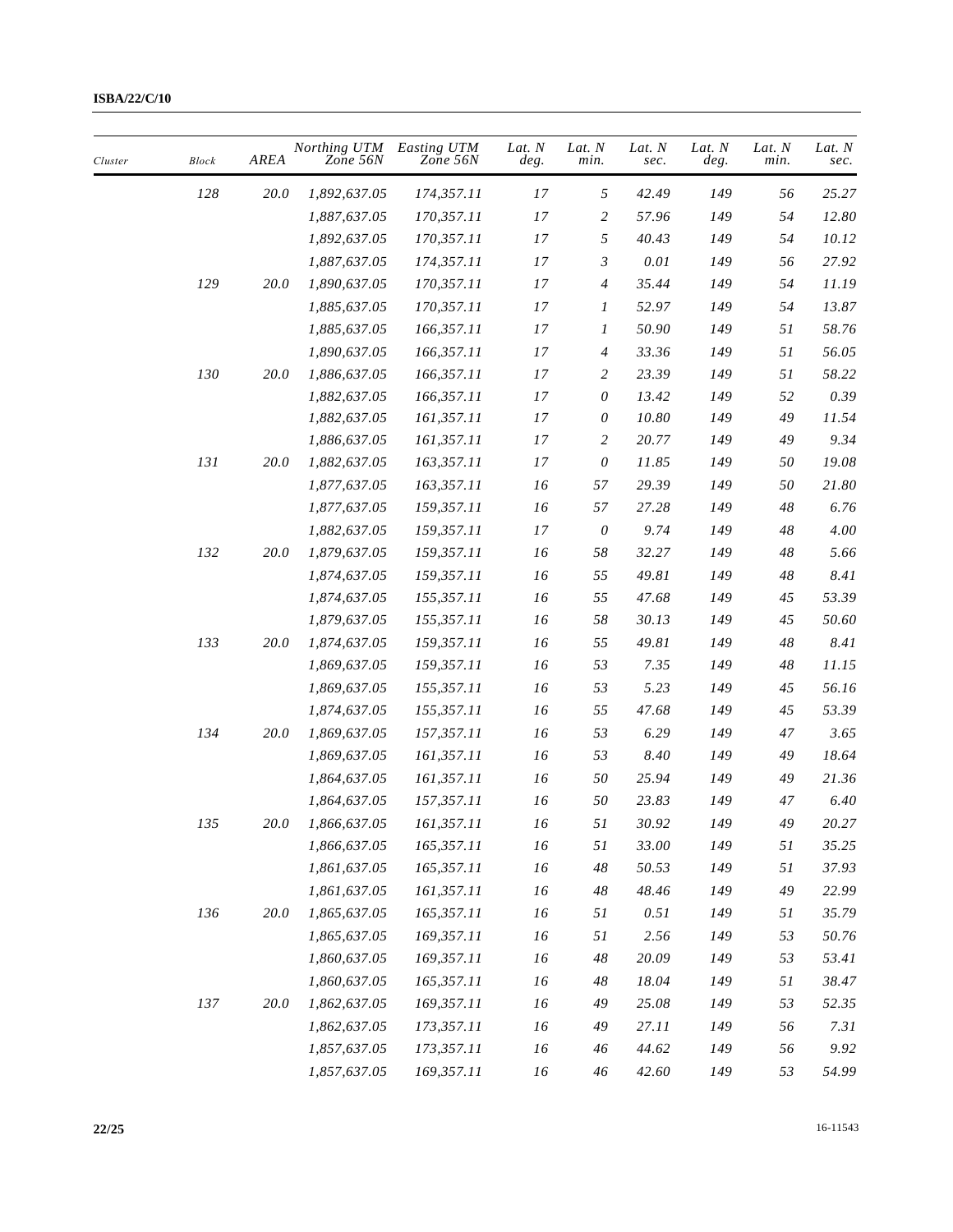| Cluster | <b>Block</b> | <b>AREA</b> | Northing UTM<br>Zone 56N | Easting UTM<br>Zone 56N | Lat. N<br>deg. | Lat. N<br>min.            | Lat. N<br>sec. | Lat. N<br>deg. | Lat. N<br>min. | Lat. N<br>sec. |
|---------|--------------|-------------|--------------------------|-------------------------|----------------|---------------------------|----------------|----------------|----------------|----------------|
|         | 128          | 20.0        | 1,892,637.05             | 174,357.11              | 17             | 5                         | 42.49          | 149            | 56             | 25.27          |
|         |              |             | 1,887,637.05             | 170,357.11              | $17\,$         | 2                         | 57.96          | 149            | 54             | 12.80          |
|         |              |             | 1,892,637.05             | 170,357.11              | 17             | 5                         | 40.43          | 149            | 54             | 10.12          |
|         |              |             | 1,887,637.05             | 174,357.11              | 17             | $\mathfrak{Z}$            | $0.01\,$       | 149            | 56             | 27.92          |
|         | 129          | 20.0        | 1,890,637.05             | 170,357.11              | 17             | $\overline{4}$            | 35.44          | 149            | 54             | 11.19          |
|         |              |             | 1,885,637.05             | 170,357.11              | 17             | 1                         | 52.97          | 149            | 54             | 13.87          |
|         |              |             | 1,885,637.05             | 166,357.11              | 17             | 1                         | 50.90          | 149            | 51             | 58.76          |
|         |              |             | 1,890,637.05             | 166,357.11              | 17             | 4                         | 33.36          | 149            | 51             | 56.05          |
|         | 130          | 20.0        | 1,886,637.05             | 166,357.11              | 17             | $\overline{c}$            | 23.39          | 149            | 51             | 58.22          |
|         |              |             | 1,882,637.05             | 166,357.11              | 17             | 0                         | 13.42          | 149            | 52             | 0.39           |
|         |              |             | 1,882,637.05             | 161,357.11              | 17             | $\boldsymbol{\mathit{0}}$ | 10.80          | 149            | 49             | 11.54          |
|         |              |             | 1,886,637.05             | 161,357.11              | 17             | $\overline{c}$            | 20.77          | 149            | 49             | 9.34           |
|         | 131          | 20.0        | 1,882,637.05             | 163,357.11              | 17             | 0                         | 11.85          | 149            | 50             | 19.08          |
|         |              |             | 1,877,637.05             | 163,357.11              | 16             | 57                        | 29.39          | 149            | 50             | 21.80          |
|         |              |             | 1,877,637.05             | 159,357.11              | 16             | 57                        | 27.28          | 149            | 48             | 6.76           |
|         |              |             | 1,882,637.05             | 159,357.11              | $17\,$         | $\boldsymbol{\mathit{0}}$ | 9.74           | 149            | 48             | 4.00           |
|         | 132          | 20.0        | 1,879,637.05             | 159,357.11              | 16             | 58                        | 32.27          | 149            | $48\,$         | 5.66           |
|         |              |             | 1,874,637.05             | 159,357.11              | 16             | 55                        | 49.81          | 149            | $48\,$         | 8.41           |
|         |              |             | 1,874,637.05             | 155,357.11              | 16             | 55                        | 47.68          | 149            | 45             | 53.39          |
|         |              |             | 1,879,637.05             | 155,357.11              | 16             | 58                        | 30.13          | 149            | 45             | 50.60          |
|         | 133          | 20.0        | 1,874,637.05             | 159,357.11              | 16             | 55                        | 49.81          | 149            | 48             | 8.41           |
|         |              |             | 1,869,637.05             | 159,357.11              | 16             | 53                        | 7.35           | 149            | $48\,$         | 11.15          |
|         |              |             | 1,869,637.05             | 155,357.11              | 16             | 53                        | 5.23           | 149            | 45             | 56.16          |
|         |              |             | 1,874,637.05             | 155,357.11              | 16             | 55                        | 47.68          | 149            | 45             | 53.39          |
|         | 134          | 20.0        | 1,869,637.05             | 157,357.11              | 16             | 53                        | 6.29           | 149            | 47             | 3.65           |
|         |              |             | 1,869,637.05             | 161,357.11              | 16             | 53                        | 8.40           | 149            | 49             | 18.64          |
|         |              |             | 1,864,637.05             | 161,357.11              | 16             | 50                        | 25.94          | 149            | 49             | 21.36          |
|         |              |             | 1,864,637.05             | 157,357.11              | 16             | $50\,$                    | 23.83          | 149            | $47\,$         | 6.40           |
|         | 135          | 20.0        | 1,866,637.05             | 161,357.11              | 16             | $51\,$                    | 30.92          | 149            | 49             | 20.27          |
|         |              |             | 1,866,637.05             | 165,357.11              | 16             | 51                        | 33.00          | 149            | 51             | 35.25          |
|         |              |             | 1,861,637.05             | 165,357.11              | 16             | $48\,$                    | 50.53          | 149            | 51             | 37.93          |
|         |              |             | 1,861,637.05             | 161,357.11              | 16             | 48                        | 48.46          | 149            | 49             | 22.99          |
|         | 136          | 20.0        | 1,865,637.05             | 165,357.11              | 16             | 51                        | 0.51           | 149            | 51             | 35.79          |
|         |              |             | 1,865,637.05             | 169,357.11              | 16             | 51                        | 2.56           | 149            | 53             | 50.76          |
|         |              |             | 1,860,637.05             | 169,357.11              | 16             | $48\,$                    | 20.09          | 149            | 53             | 53.41          |
|         |              |             | 1,860,637.05             | 165,357.11              | 16             | 48                        | 18.04          | 149            | 51             | 38.47          |
|         | 137          | 20.0        | 1,862,637.05             | 169,357.11              | 16             | 49                        | 25.08          | 149            | 53             | 52.35          |
|         |              |             | 1,862,637.05             | 173,357.11              | 16             | 49                        | 27.11          | 149            | 56             | 7.31           |
|         |              |             | 1,857,637.05             | 173,357.11              | 16             | 46                        | 44.62          | 149            | 56             | 9.92           |
|         |              |             | 1,857,637.05             | 169,357.11              | 16             | 46                        | 42.60          | 149            | 53             | 54.99          |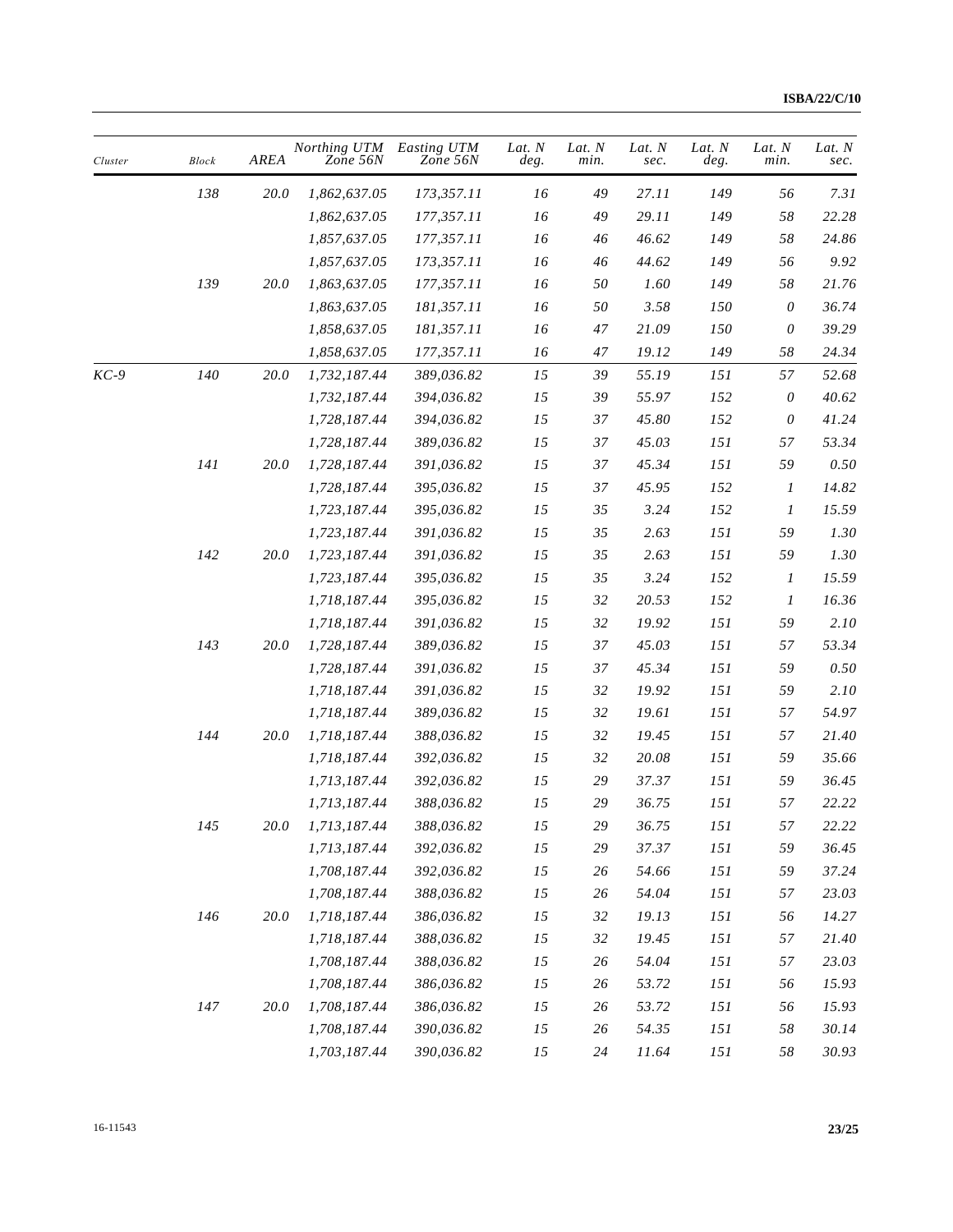| Cluster | <b>Block</b> | AREA        | Northing UTM<br>Zone 56N | Easting UTM<br>Zone 56N | Lat. $N$<br>deg. | Lat. $N$<br>min. | Lat. N<br>sec. | Lat. N<br>deg. | Lat. N<br>min.            | Lat. N<br>sec. |
|---------|--------------|-------------|--------------------------|-------------------------|------------------|------------------|----------------|----------------|---------------------------|----------------|
|         | $138\,$      | 20.0        | 1,862,637.05             | 173,357.11              | 16               | 49               | 27.11          | 149            | 56                        | 7.31           |
|         |              |             | 1,862,637.05             | 177,357.11              | 16               | 49               | 29.11          | 149            | 58                        | 22.28          |
|         |              |             | 1,857,637.05             | 177,357.11              | 16               | 46               | 46.62          | 149            | 58                        | 24.86          |
|         |              |             | 1,857,637.05             | 173,357.11              | 16               | 46               | 44.62          | 149            | 56                        | 9.92           |
|         | 139          | 20.0        | 1,863,637.05             | 177,357.11              | 16               | 50               | 1.60           | 149            | 58                        | 21.76          |
|         |              |             | 1,863,637.05             | 181,357.11              | 16               | 50               | 3.58           | 150            | $\boldsymbol{\mathit{0}}$ | 36.74          |
|         |              |             | 1,858,637.05             | 181,357.11              | 16               | 47               | 21.09          | 150            | $\boldsymbol{\theta}$     | 39.29          |
|         |              |             | 1,858,637.05             | 177,357.11              | 16               | 47               | 19.12          | 149            | 58                        | 24.34          |
| KC-9    | 140          | 20.0        | 1,732,187.44             | 389,036.82              | 15               | 39               | 55.19          | 151            | 57                        | 52.68          |
|         |              |             | 1,732,187.44             | 394,036.82              | 15               | 39               | 55.97          | 152            | $\boldsymbol{\mathit{0}}$ | 40.62          |
|         |              |             | 1,728,187.44             | 394,036.82              | 15               | 37               | 45.80          | 152            | $\boldsymbol{\mathit{0}}$ | 41.24          |
|         |              |             | 1,728,187.44             | 389,036.82              | 15               | 37               | 45.03          | 151            | 57                        | 53.34          |
|         | 141          | <i>20.0</i> | 1,728,187.44             | 391,036.82              | 15               | 37               | 45.34          | 151            | 59                        | 0.50           |
|         |              |             | 1,728,187.44             | 395,036.82              | 15               | 37               | 45.95          | 152            | $\boldsymbol{I}$          | 14.82          |
|         |              |             | 1,723,187.44             | 395,036.82              | 15               | 35               | 3.24           | 152            | $\boldsymbol{I}$          | 15.59          |
|         |              |             | 1,723,187.44             | 391,036.82              | 15               | 35               | 2.63           | 151            | 59                        | 1.30           |
|         | 142          | 20.0        | 1,723,187.44             | 391,036.82              | 15               | 35               | 2.63           | 151            | 59                        | 1.30           |
|         |              |             | 1,723,187.44             | 395,036.82              | 15               | 35               | 3.24           | 152            | $\boldsymbol{l}$          | 15.59          |
|         |              |             | 1,718,187.44             | 395,036.82              | 15               | 32               | 20.53          | 152            | $\boldsymbol{I}$          | 16.36          |
|         |              |             | 1,718,187.44             | 391,036.82              | 15               | 32               | 19.92          | 151            | 59                        | 2.10           |
|         | 143          | 20.0        | 1,728,187.44             | 389,036.82              | 15               | 37               | 45.03          | 151            | 57                        | 53.34          |
|         |              |             | 1,728,187.44             | 391,036.82              | 15               | 37               | 45.34          | 151            | 59                        | 0.50           |
|         |              |             | 1,718,187.44             | 391,036.82              | 15               | 32               | 19.92          | 151            | 59                        | 2.10           |
|         |              |             | 1,718,187.44             | 389,036.82              | 15               | 32               | 19.61          | 151            | 57                        | 54.97          |
|         | 144          | 20.0        | 1,718,187.44             | 388,036.82              | 15               | 32               | 19.45          | 151            | 57                        | 21.40          |
|         |              |             | 1,718,187.44             | 392,036.82              | 15               | 32               | 20.08          | 151            | 59                        | 35.66          |
|         |              |             | 1,713,187.44             | 392,036.82              | 15               | 29               | 37.37          | 151            | 59                        | 36.45          |
|         |              |             | 1,713,187.44             | 388,036.82              | 15               | 29               | 36.75          | 151            | 57                        | 22.22          |
|         | 145          | $20.0\,$    | 1,713,187.44             | 388,036.82              | 15               | 29               | 36.75          | $151\,$        | 57                        | 22.22          |
|         |              |             | 1,713,187.44             | 392,036.82              | $15\,$           | 29               | 37.37          | 151            | 59                        | 36.45          |
|         |              |             | 1,708,187.44             | 392,036.82              | 15               | 26               | 54.66          | 151            | 59                        | 37.24          |
|         |              |             | 1,708,187.44             | 388,036.82              | 15               | 26               | 54.04          | 151            | 57                        | 23.03          |
|         | 146          | 20.0        | 1,718,187.44             | 386,036.82              | 15               | 32               | 19.13          | 151            | 56                        | 14.27          |
|         |              |             | 1,718,187.44             | 388,036.82              | 15               | 32               | 19.45          | 151            | 57                        | 21.40          |
|         |              |             | 1,708,187.44             | 388,036.82              | 15               | 26               | 54.04          | 151            | 57                        | 23.03          |
|         |              |             | 1,708,187.44             | 386,036.82              | 15               | 26               | 53.72          | 151            | 56                        | 15.93          |
|         | 147          | 20.0        | 1,708,187.44             | 386,036.82              | 15               | 26               | 53.72          | 151            | 56                        | 15.93          |
|         |              |             | 1,708,187.44             | 390,036.82              | 15               | 26               | 54.35          | 151            | 58                        | 30.14          |
|         |              |             | 1,703,187.44             | 390,036.82              | $15\,$           | 24               | 11.64          | 151            | 58                        | 30.93          |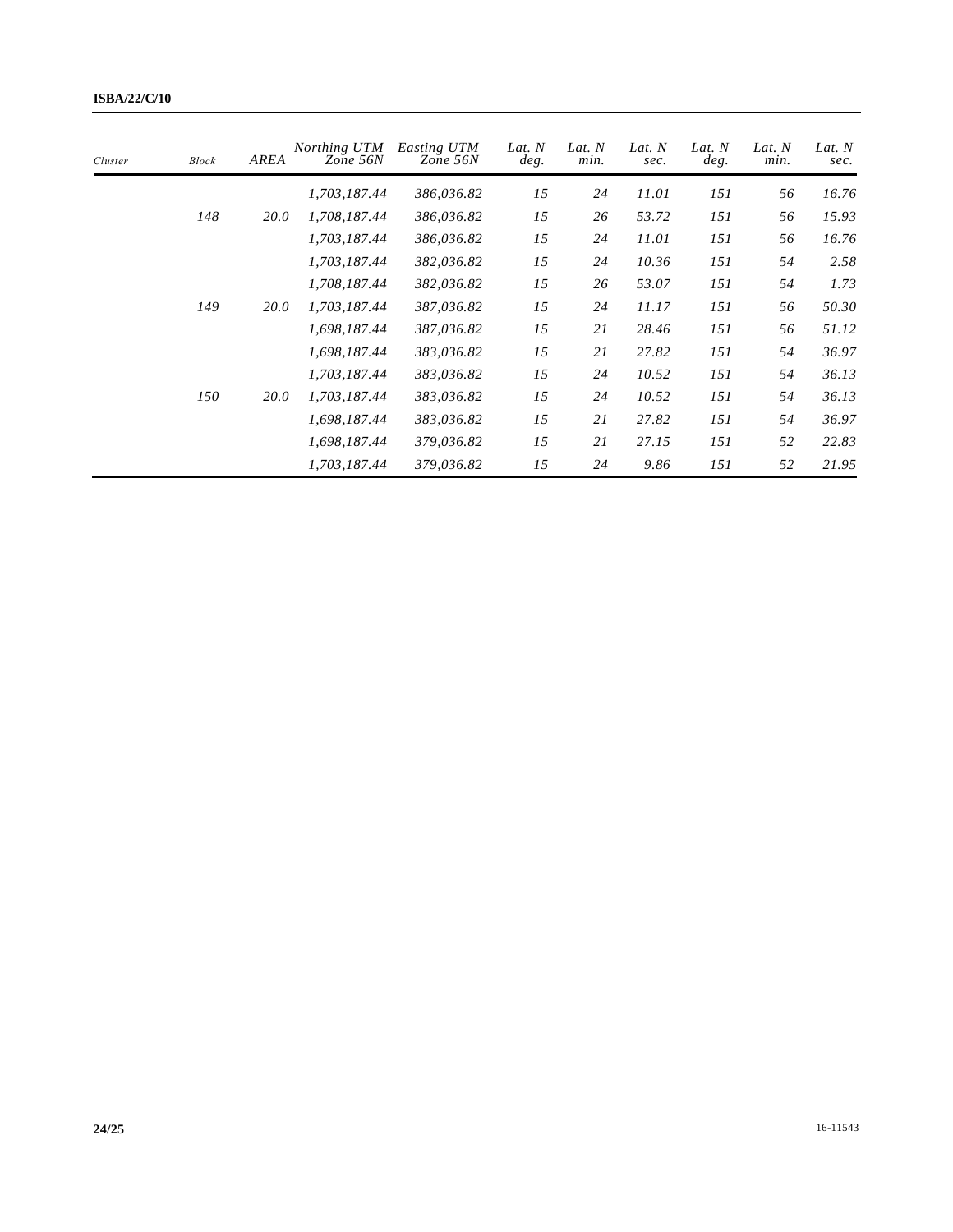| Cluster | <b>Block</b> | AREA        | Northing UTM<br>Zone 56N | Easting UTM<br>Zone 56N | Lat. N<br>deg. | Lat. $N$<br>min. | Lat. N<br>sec. | Lat. $N$<br>deg. | Lat. $N$<br>min. | Lat. N<br>sec. |
|---------|--------------|-------------|--------------------------|-------------------------|----------------|------------------|----------------|------------------|------------------|----------------|
|         |              |             | 1,703,187.44             | 386,036.82              | 15             | 24               | 11.01          | 151              | 56               | 16.76          |
|         | 148          | <i>20.0</i> | 1,708,187.44             | 386,036.82              | 15             | 26               | 53.72          | 151              | 56               | 15.93          |
|         |              |             | 1,703,187.44             | 386,036.82              | 15             | 24               | 11.01          | 151              | 56               | 16.76          |
|         |              |             | 1,703,187.44             | 382,036.82              | 15             | 24               | 10.36          | 151              | 54               | 2.58           |
|         |              |             | 1,708,187.44             | 382,036.82              | 15             | 26               | 53.07          | 151              | 54               | 1.73           |
|         | 149          | <i>20.0</i> | 1,703,187.44             | 387,036.82              | 15             | 24               | 11.17          | 151              | 56               | 50.30          |
|         |              |             | 1,698,187.44             | 387,036.82              | 15             | 21               | 28.46          | 151              | 56               | 51.12          |
|         |              |             | 1,698,187.44             | 383,036.82              | 15             | 21               | 27.82          | 151              | 54               | 36.97          |
|         |              |             | 1,703,187.44             | 383,036.82              | 15             | 24               | 10.52          | 151              | 54               | 36.13          |
|         | 150          | <i>20.0</i> | 1,703,187.44             | 383,036.82              | 15             | 24               | 10.52          | 151              | 54               | 36.13          |
|         |              |             | 1,698,187.44             | 383,036.82              | 15             | 21               | 27.82          | 151              | 54               | 36.97          |
|         |              |             | 1,698,187.44             | 379,036.82              | 15             | 21               | 27.15          | 151              | 52               | 22.83          |
|         |              |             | 1,703,187.44             | 379,036.82              | 15             | 24               | 9.86           | 151              | 52               | 21.95          |